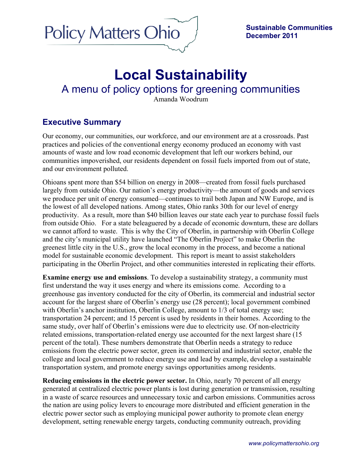

# **Local Sustainability** A menu of policy options for greening communities Amanda Woodrum

# **Executive Summary**

Our economy, our communities, our workforce, and our environment are at a crossroads. Past practices and policies of the conventional energy economy produced an economy with vast amounts of waste and low road economic development that left our workers behind, our communities impoverished, our residents dependent on fossil fuels imported from out of state, and our environment polluted.

Ohioans spent more than \$54 billion on energy in 2008—created from fossil fuels purchased largely from outside Ohio. Our nation's energy productivity—the amount of goods and services we produce per unit of energy consumed—continues to trail both Japan and NW Europe, and is the lowest of all developed nations. Among states, Ohio ranks 30th for our level of energy productivity. As a result, more than \$40 billion leaves our state each year to purchase fossil fuels from outside Ohio. For a state beleaguered by a decade of economic downturn, these are dollars we cannot afford to waste. This is why the City of Oberlin, in partnership with Oberlin College and the city's municipal utility have launched "The Oberlin Project" to make Oberlin the greenest little city in the U.S., grow the local economy in the process, and become a national model for sustainable economic development. This report is meant to assist stakeholders participating in the Oberlin Project, and other communities interested in replicating their efforts.

**Examine energy use and emissions**. To develop a sustainability strategy, a community must first understand the way it uses energy and where its emissions come. According to a greenhouse gas inventory conducted for the city of Oberlin, its commercial and industrial sector account for the largest share of Oberlin's energy use (28 percent); local government combined with Oberlin's anchor institution, Oberlin College, amount to  $1/3$  of total energy use; transportation 24 percent; and 15 percent is used by residents in their homes. According to the same study, over half of Oberlin's emissions were due to electricity use. Of non-electricity related emissions, transportation-related energy use accounted for the next largest share (15 percent of the total). These numbers demonstrate that Oberlin needs a strategy to reduce emissions from the electric power sector, green its commercial and industrial sector, enable the college and local government to reduce energy use and lead by example, develop a sustainable transportation system, and promote energy savings opportunities among residents.

**Reducing emissions in the electric power sector.** In Ohio, nearly 70 percent of all energy generated at centralized electric power plants is lost during generation or transmission, resulting in a waste of scarce resources and unnecessary toxic and carbon emissions. Communities across the nation are using policy levers to encourage more distributed and efficient generation in the electric power sector such as employing municipal power authority to promote clean energy development, setting renewable energy targets, conducting community outreach, providing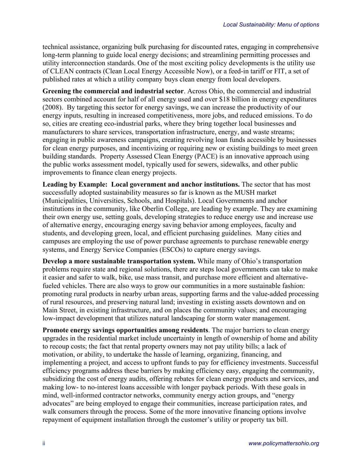technical assistance, organizing bulk purchasing for discounted rates, engaging in comprehensive long-term planning to guide local energy decisions; and streamlining permitting processes and utility interconnection standards. One of the most exciting policy developments is the utility use of CLEAN contracts (Clean Local Energy Accessible Now), or a feed-in tariff or FIT, a set of published rates at which a utility company buys clean energy from local developers.

**Greening the commercial and industrial sector**. Across Ohio, the commercial and industrial sectors combined account for half of all energy used and over \$18 billion in energy expenditures (2008).By targeting this sector for energy savings, we can increase the productivity of our energy inputs, resulting in increased competitiveness, more jobs, and reduced emissions. To do so, cities are creating eco-industrial parks, where they bring together local businesses and manufacturers to share services, transportation infrastructure, energy, and waste streams; engaging in public awareness campaigns, creating revolving loan funds accessible by businesses for clean energy purposes, and incentivizing or requiring new or existing buildings to meet green building standards. Property Assessed Clean Energy (PACE) is an innovative approach using the public works assessment model, typically used for sewers, sidewalks, and other public improvements to finance clean energy projects.

**Leading by Example: Local government and anchor institutions.** The sector that has most successfully adopted sustainability measures so far is known as the MUSH market (Municipalities, Universities, Schools, and Hospitals). Local Governments and anchor institutions in the community, like Oberlin College, are leading by example. They are examining their own energy use, setting goals, developing strategies to reduce energy use and increase use of alternative energy, encouraging energy saving behavior among employees, faculty and students, and developing green, local, and efficient purchasing guidelines. Many cities and campuses are employing the use of power purchase agreements to purchase renewable energy systems, and Energy Service Companies (ESCOs) to capture energy savings.

**Develop a more sustainable transportation system.** While many of Ohio's transportation problems require state and regional solutions, there are steps local governments can take to make it easier and safer to walk, bike, use mass transit, and purchase more efficient and alternativefueled vehicles. There are also ways to grow our communities in a more sustainable fashion: promoting rural products in nearby urban areas, supporting farms and the value-added processing of rural resources, and preserving natural land; investing in existing assets downtown and on Main Street, in existing infrastructure, and on places the community values; and encouraging low-impact development that utilizes natural landscaping for storm water management.

**Promote energy savings opportunities among residents**. The major barriers to clean energy upgrades in the residential market include uncertainty in length of ownership of home and ability to recoup costs; the fact that rental property owners may not pay utility bills; a lack of motivation, or ability, to undertake the hassle of learning, organizing, financing, and implementing a project, and access to upfront funds to pay for efficiency investments. Successful efficiency programs address these barriers by making efficiency easy, engaging the community, subsidizing the cost of energy audits, offering rebates for clean energy products and services, and making low- to no-interest loans accessible with longer payback periods. With these goals in mind, well-informed contractor networks, community energy action groups, and "energy advocates" are being employed to engage their communities, increase participation rates, and walk consumers through the process. Some of the more innovative financing options involve repayment of equipment installation through the customer's utility or property tax bill.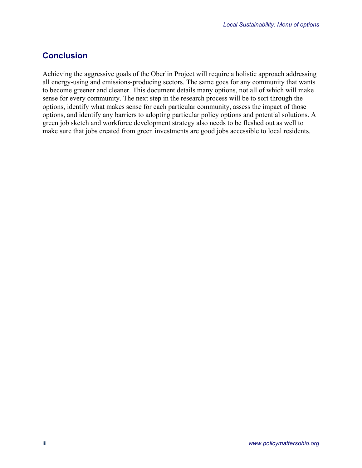## **Conclusion**

Achieving the aggressive goals of the Oberlin Project will require a holistic approach addressing all energy-using and emissions-producing sectors. The same goes for any community that wants to become greener and cleaner. This document details many options, not all of which will make sense for every community. The next step in the research process will be to sort through the options, identify what makes sense for each particular community, assess the impact of those options, and identify any barriers to adopting particular policy options and potential solutions. A green job sketch and workforce development strategy also needs to be fleshed out as well to make sure that jobs created from green investments are good jobs accessible to local residents.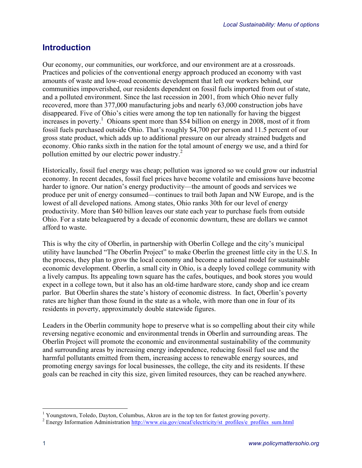# **Introduction**

Our economy, our communities, our workforce, and our environment are at a crossroads. Practices and policies of the conventional energy approach produced an economy with vast amounts of waste and low-road economic development that left our workers behind, our communities impoverished, our residents dependent on fossil fuels imported from out of state, and a polluted environment. Since the last recession in 2001, from which Ohio never fully recovered, more than 377,000 manufacturing jobs and nearly 63,000 construction jobs have disappeared. Five of Ohio's cities were among the top ten nationally for having the biggest increases in poverty. 1 Ohioans spent more than \$54 billion on energy in 2008, most of it from fossil fuels purchased outside Ohio. That's roughly \$4,700 per person and 11.5 percent of our gross state product, which adds up to additional pressure on our already strained budgets and economy. Ohio ranks sixth in the nation for the total amount of energy we use, and a third for pollution emitted by our electric power industry.<sup>2</sup>

Historically, fossil fuel energy was cheap; pollution was ignored so we could grow our industrial economy. In recent decades, fossil fuel prices have become volatile and emissions have become harder to ignore. Our nation's energy productivity—the amount of goods and services we produce per unit of energy consumed—continues to trail both Japan and NW Europe, and is the lowest of all developed nations. Among states, Ohio ranks 30th for our level of energy productivity. More than \$40 billion leaves our state each year to purchase fuels from outside Ohio. For a state beleaguered by a decade of economic downturn, these are dollars we cannot afford to waste.

This is why the city of Oberlin, in partnership with Oberlin College and the city's municipal utility have launched "The Oberlin Project" to make Oberlin the greenest little city in the U.S. In the process, they plan to grow the local economy and become a national model for sustainable economic development. Oberlin, a small city in Ohio, is a deeply loved college community with a lively campus. Its appealing town square has the cafes, boutiques, and book stores you would expect in a college town, but it also has an old-time hardware store, candy shop and ice cream parlor. But Oberlin shares the state's history of economic distress. In fact, Oberlin's poverty rates are higher than those found in the state as a whole, with more than one in four of its residents in poverty, approximately double statewide figures.

Leaders in the Oberlin community hope to preserve what is so compelling about their city while reversing negative economic and environmental trends in Oberlin and surrounding areas. The Oberlin Project will promote the economic and environmental sustainability of the community and surrounding areas by increasing energy independence, reducing fossil fuel use and the harmful pollutants emitted from them, increasing access to renewable energy sources, and promoting energy savings for local businesses, the college, the city and its residents. If these goals can be reached in city this size, given limited resources, they can be reached anywhere.

<sup>&</sup>lt;sup>1</sup> Youngstown, Toledo, Dayton, Columbus, Akron are in the top ten for fastest growing poverty.<br><sup>2</sup> Energy Information Administration http://www.eia.gov/cneaf/electricity/st\_profiles/e\_profiles\_sum.html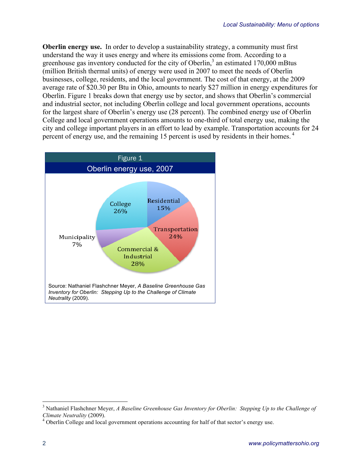**Oberlin energy use.** In order to develop a sustainability strategy, a community must first understand the way it uses energy and where its emissions come from. According to a greenhouse gas inventory conducted for the city of Oberlin, $3$  an estimated 170,000 mBtus (million British thermal units) of energy were used in 2007 to meet the needs of Oberlin businesses, college, residents, and the local government. The cost of that energy, at the 2009 average rate of \$20.30 per Btu in Ohio, amounts to nearly \$27 million in energy expenditures for Oberlin. Figure 1 breaks down that energy use by sector, and shows that Oberlin's commercial and industrial sector, not including Oberlin college and local government operations, accounts for the largest share of Oberlin's energy use (28 percent). The combined energy use of Oberlin College and local government operations amounts to one-third of total energy use, making the city and college important players in an effort to lead by example. Transportation accounts for 24 percent of energy use, and the remaining 15 percent is used by residents in their homes. <sup>4</sup>



<sup>&</sup>lt;sup>3</sup> Nathaniel Flashchner Meyer, *A Baseline Greenhouse Gas Inventory for Oberlin: Stepping Up to the Challenge of Climate Neutrality (2009).* 

<sup>&</sup>lt;sup>4</sup> Oberlin College and local government operations accounting for half of that sector's energy use.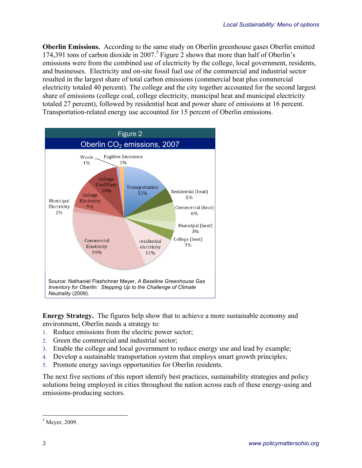**Oberlin Emissions.** According to the same study on Oberlin greenhouse gases Oberlin emitted 174,391 tons of carbon dioxide in 2007.<sup>5</sup> Figure 2 shows that more than half of Oberlin's emissions were from the combined use of electricity by the college, local government, residents, and businesses. Electricity and on-site fossil fuel use of the commercial and industrial sector resulted in the largest share of total carbon emissions (commercial heat plus commercial electricity totaled 40 percent). The college and the city together accounted for the second largest share of emissions (college coal, college electricity, municipal heat and municipal electricity totaled 27 percent), followed by residential heat and power share of emissions at 16 percent. Transportation-related energy use accounted for 15 percent of Oberlin emissions.



**Energy Strategy.** The figures help show that to achieve a more sustainable economy and environment, Oberlin needs a strategy to:

- 1. Reduce emissions from the electric power sector;
- 2. Green the commercial and industrial sector;
- 3. Enable the college and local government to reduce energy use and lead by example;
- 4. Develop a sustainable transportation system that employs smart growth principles;
- 5. Promote energy savings opportunities for Oberlin residents.

The next five sections of this report identify best practices, sustainability strategies and policy solutions being employed in cities throughout the nation across each of these energy-using and emissions-producing sectors.

 $<sup>5</sup>$  Meyer, 2009.</sup>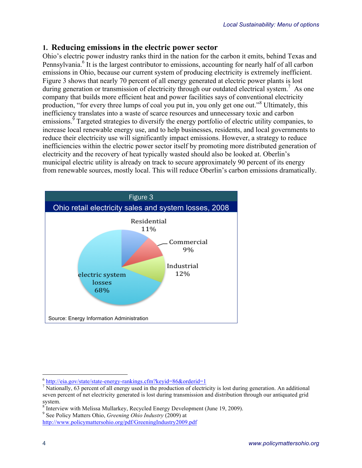### **1. Reducing emissions in the electric power sector**

Ohio's electric power industry ranks third in the nation for the carbon it emits, behind Texas and Pennsylvania.<sup>6</sup> It is the largest contributor to emissions, accounting for nearly half of all carbon emissions in Ohio, because our current system of producing electricity is extremely inefficient. Figure 3 shows that nearly 70 percent of all energy generated at electric power plants is lost during generation or transmission of electricity through our outdated electrical system.<sup>7</sup> As one company that builds more efficient heat and power facilities says of conventional electricity production, "for every three lumps of coal you put in, you only get one out."<sup>8</sup> Ultimately, this inefficiency translates into a waste of scarce resources and unnecessary toxic and carbon emissions.<sup>9</sup> Targeted strategies to diversify the energy portfolio of electric utility companies, to increase local renewable energy use, and to help businesses, residents, and local governments to reduce their electricity use will significantly impact emissions. However, a strategy to reduce inefficiencies within the electric power sector itself by promoting more distributed generation of electricity and the recovery of heat typically wasted should also be looked at. Oberlin's municipal electric utility is already on track to secure approximately 90 percent of its energy from renewable sources, mostly local. This will reduce Oberlin's carbon emissions dramatically.



http://www.policymattersohio.org/pdf/GreeningIndustry2009.pdf

 $\frac{6}{7}$  http://eia.gov/state/state-energy-rankings.cfm?keyid=86&orderid=1<br> $\frac{7}{7}$  Nationally, 63 percent of all energy used in the production of electricity is lost during generation. An additional seven percent of net electricity generated is lost during transmission and distribution through our antiquated grid system.

 $8<sup>8</sup>$  Interview with Melissa Mullarkey, Recycled Energy Development (June 19, 2009).

<sup>&</sup>lt;sup>9</sup> See Policy Matters Ohio, *Greening Ohio Industry* (2009) at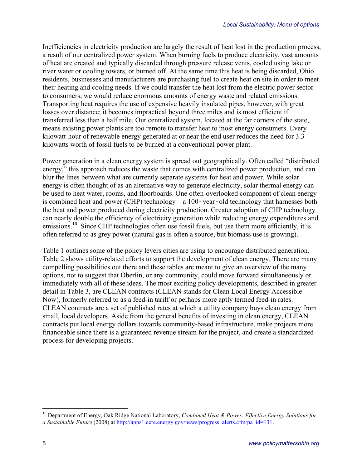Inefficiencies in electricity production are largely the result of heat lost in the production process, a result of our centralized power system. When burning fuels to produce electricity, vast amounts of heat are created and typically discarded through pressure release vents, cooled using lake or river water or cooling towers, or burned off. At the same time this heat is being discarded, Ohio residents, businesses and manufacturers are purchasing fuel to create heat on site in order to meet their heating and cooling needs. If we could transfer the heat lost from the electric power sector to consumers, we would reduce enormous amounts of energy waste and related emissions. Transporting heat requires the use of expensive heavily insulated pipes, however, with great losses over distance; it becomes impractical beyond three miles and is most efficient if transferred less than a half mile. Our centralized system, located at the far corners of the state, means existing power plants are too remote to transfer heat to most energy consumers. Every kilowatt-hour of renewable energy generated at or near the end user reduces the need for 3.3 kilowatts worth of fossil fuels to be burned at a conventional power plant.

Power generation in a clean energy system is spread out geographically. Often called "distributed energy," this approach reduces the waste that comes with centralized power production, and can blur the lines between what are currently separate systems for heat and power. While solar energy is often thought of as an alternative way to generate electricity, solar thermal energy can be used to heat water, rooms, and floorboards. One often-overlooked component of clean energy is combined heat and power (CHP) technology—a 100*‐*year*‐*old technology that harnesses both the heat and power produced during electricity production. Greater adoption of CHP technology can nearly double the efficiency of electricity generation while reducing energy expenditures and emissions.<sup>10</sup> Since CHP technologies often use fossil fuels, but use them more efficiently, it is often referred to as grey power (natural gas is often a source, but biomass use is growing).

Table 1 outlines some of the policy levers cities are using to encourage distributed generation. Table 2 shows utility-related efforts to support the development of clean energy. There are many compelling possibilities out there and these tables are meant to give an overview of the many options, not to suggest that Oberlin, or any community, could move forward simultaneously or immediately with all of these ideas. The most exciting policy developments, described in greater detail in Table 3, are CLEAN contracts (CLEAN stands for Clean Local Energy Accessible Now), formerly referred to as a feed-in tariff or perhaps more aptly termed feed-in rates. CLEAN contracts are a set of published rates at which a utility company buys clean energy from small, local developers. Aside from the general benefits of investing in clean energy, CLEAN contracts put local energy dollars towards community-based infrastructure, make projects more financeable since there is a guaranteed revenue stream for the project, and create a standardized process for developing projects.

 <sup>10</sup> Department of Energy, Oak Ridge National Laboratory, *Combined Heat & Power: Effective Energy Solutions for a Sustainable Future* (2008) at http://apps1.eere.energy.gov/news/progress\_alerts.cfm/pa\_id=131.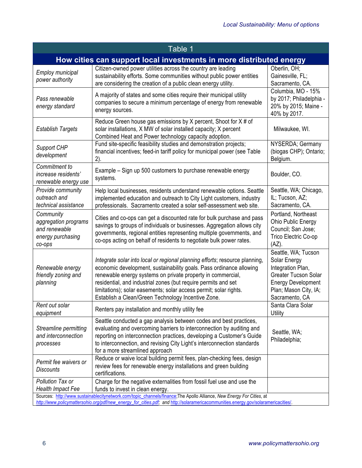| Table 1                                                                                                                                                                                                                                                     |                                                                                                                                                                                                                                                                                                                                                                                                                |                                                                                                                                                                 |
|-------------------------------------------------------------------------------------------------------------------------------------------------------------------------------------------------------------------------------------------------------------|----------------------------------------------------------------------------------------------------------------------------------------------------------------------------------------------------------------------------------------------------------------------------------------------------------------------------------------------------------------------------------------------------------------|-----------------------------------------------------------------------------------------------------------------------------------------------------------------|
| How cities can support local investments in more distributed energy                                                                                                                                                                                         |                                                                                                                                                                                                                                                                                                                                                                                                                |                                                                                                                                                                 |
| Employ municipal<br>power authority                                                                                                                                                                                                                         | Citizen-owned power utilities across the country are leading<br>sustainability efforts. Some communities without public power entities<br>are considering the creation of a public clean energy utility.                                                                                                                                                                                                       | Oberlin, OH;<br>Gainesville, FL;<br>Sacramento, CA.                                                                                                             |
| Pass renewable<br>energy standard                                                                                                                                                                                                                           | A majority of states and some cities require their municipal utility<br>companies to secure a minimum percentage of energy from renewable<br>energy sources.                                                                                                                                                                                                                                                   | Columbia, MO - 15%<br>by 2017; Philadelphia -<br>20% by 2015; Maine -<br>40% by 2017.                                                                           |
| <b>Establish Targets</b>                                                                                                                                                                                                                                    | Reduce Green house gas emissions by X percent, Shoot for X # of<br>solar installations, X MW of solar installed capacity; X percent<br>Combined Heat and Power technology capacity adoption.                                                                                                                                                                                                                   | Milwaukee, WI.                                                                                                                                                  |
| Support CHP<br>development                                                                                                                                                                                                                                  | Fund site-specific feasibility studies and demonstration projects;<br>financial incentives; feed-in tariff policy for municipal power (see Table<br>2).                                                                                                                                                                                                                                                        | NYSERDA; Germany<br>(biogas CHP); Ontario;<br>Belgium.                                                                                                          |
| Commitment to<br>increase residents'<br>renewable energy use                                                                                                                                                                                                | Example – Sign up 500 customers to purchase renewable energy<br>systems.                                                                                                                                                                                                                                                                                                                                       | Boulder, CO.                                                                                                                                                    |
| Provide community<br>outreach and<br>technical assistance                                                                                                                                                                                                   | Help local businesses, residents understand renewable options. Seattle<br>implemented education and outreach to City Light customers, industry<br>professionals. Sacramento created a solar self-assessment web site.                                                                                                                                                                                          | Seattle, WA; Chicago,<br>IL; Tucson, AZ;<br>Sacramento, CA.                                                                                                     |
| Community<br>aggregation programs<br>and renewable<br>energy purchasing<br>co-ops                                                                                                                                                                           | Cities and co-ops can get a discounted rate for bulk purchase and pass<br>savings to groups of individuals or businesses. Aggregation allows city<br>governments, regional entities representing multiple governments, and<br>co-ops acting on behalf of residents to negotiate bulk power rates.                                                                                                              | Portland, Northeast<br>Ohio Public Energy<br>Council; San Jose;<br>Trico Electric Co-op<br>$(AZ)$ .                                                             |
| Renewable energy<br>friendly zoning and<br>planning                                                                                                                                                                                                         | Integrate solar into local or regional planning efforts; resource planning,<br>economic development, sustainability goals. Pass ordinance allowing<br>renewable energy systems on private property in commercial,<br>residential, and industrial zones (but require permits and set<br>limitations); solar easements; solar access permit; solar rights.<br>Establish a Clean/Green Technology Incentive Zone. | Seattle, WA; Tucson<br>Solar Energy<br>Integration Plan,<br><b>Greater Tucson Solar</b><br><b>Energy Development</b><br>Plan; Mason City, IA;<br>Sacramento, CA |
| Rent out solar<br>equipment                                                                                                                                                                                                                                 | Renters pay installation and monthly utility fee                                                                                                                                                                                                                                                                                                                                                               | Santa Clara Solar<br>Utility                                                                                                                                    |
| Streamline permitting<br>and interconnection<br>processes                                                                                                                                                                                                   | Seattle conducted a gap analysis between codes and best practices,<br>evaluating and overcoming barriers to interconnection by auditing and<br>reporting on interconnection practices, developing a Customer's Guide<br>to interconnection, and revising City Light's interconnection standards<br>for a more streamlined approach                                                                             | Seattle, WA;<br>Philadelphia;                                                                                                                                   |
| Permit fee waivers or<br><b>Discounts</b>                                                                                                                                                                                                                   | Reduce or waive local building permit fees, plan-checking fees, design<br>review fees for renewable energy installations and green building<br>certifications.                                                                                                                                                                                                                                                 |                                                                                                                                                                 |
| Pollution Tax or<br><b>Health Impact Fee</b>                                                                                                                                                                                                                | Charge for the negative externalities from fossil fuel use and use the<br>funds to invest in clean energy.                                                                                                                                                                                                                                                                                                     |                                                                                                                                                                 |
| Sources: http://www.sustainablecitynetwork.com/topic_channels/finance; The Apollo Alliance, New Energy For Cities, at<br>http://www.policymattersohio.org/pdf/new_energy_for_cities.pdf; and http://solaramericacommunities.energy.gov/solaramericacities/. |                                                                                                                                                                                                                                                                                                                                                                                                                |                                                                                                                                                                 |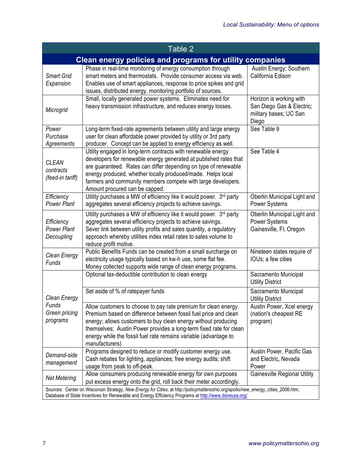| Table 2                                                                                                                                                                                                                                    |                                                                                                                                                                                                                                                                                                                                                                       |                                                                                         |
|--------------------------------------------------------------------------------------------------------------------------------------------------------------------------------------------------------------------------------------------|-----------------------------------------------------------------------------------------------------------------------------------------------------------------------------------------------------------------------------------------------------------------------------------------------------------------------------------------------------------------------|-----------------------------------------------------------------------------------------|
| Clean energy policies and programs for utility companies                                                                                                                                                                                   |                                                                                                                                                                                                                                                                                                                                                                       |                                                                                         |
| <b>Smart Grid</b><br>Expansion                                                                                                                                                                                                             | Phase in real-time monitoring of energy consumption through<br>smart meters and thermostats. Provide consumer access via web.<br>Enables use of smart appliances, response to price spikes and grid<br>issues, distributed energy, monitoring portfolio of sources.                                                                                                   | Austin Energy; Southern<br>California Edison                                            |
| Microgrid                                                                                                                                                                                                                                  | Small, locally generated power systems. Eliminates need for<br>heavy transmission infrastructure, and reduces energy losses.                                                                                                                                                                                                                                          | Horizon is working with<br>San Diego Gas & Electric;<br>military bases; UC San<br>Diego |
| Power<br>Purchase<br>Agreements                                                                                                                                                                                                            | Long-term fixed-rate agreements between utility and large energy<br>user for clean affordable power provided by utility or 3rd party<br>producer. Concept can be applied to energy efficiency as well.                                                                                                                                                                | See Table 9                                                                             |
| <b>CLEAN</b><br>contracts<br>(feed-in tariff)                                                                                                                                                                                              | Utility engaged in long-term contracts with renewable energy<br>developers for renewable energy generated at published rates that<br>are guaranteed. Rates can differ depending on type of renewable<br>energy produced, whether locally produced/made. Helps local<br>farmers and community members compete with large developers.<br>Amount procured can be capped. | See Table 4                                                                             |
| Efficiency<br><b>Power Plant</b>                                                                                                                                                                                                           | Utility purchases a MW of efficiency like it would power. 3rd party<br>aggregates several efficiency projects to achieve savings.                                                                                                                                                                                                                                     | Oberlin Municipal Light and<br>Power Systems                                            |
| Efficiency<br><b>Power Plant</b><br>Decoupling                                                                                                                                                                                             | Utility purchases a MW of efficiency like it would power. 3rd party<br>aggregates several efficiency projects to achieve savings.<br>Sever link between utility profits and sales quantity, a regulatory<br>approach whereby utilities index retail rates to sales volume to<br>reduce profit motive.                                                                 | Oberlin Municipal Light and<br><b>Power Systems</b><br>Gainesville, Fl; Oregon          |
| Clean Energy<br>Funds                                                                                                                                                                                                                      | Public Benefits Funds can be created from a small surcharge on<br>electricity usage typically based on kw-h use, some flat fee.<br>Money collected supports wide range of clean energy programs.                                                                                                                                                                      | Nineteen states require of<br>IOUs; a few cities                                        |
|                                                                                                                                                                                                                                            | Optional tax-deductible contribution to clean energy                                                                                                                                                                                                                                                                                                                  | Sacramento Municipal<br><b>Utility District</b>                                         |
| Clean Energy                                                                                                                                                                                                                               | Set aside of % of ratepayer funds                                                                                                                                                                                                                                                                                                                                     | Sacramento Municipal<br><b>Utility District</b>                                         |
| Funds<br>Green pricing<br>programs                                                                                                                                                                                                         | Allow customers to choose to pay rate premium for clean energy.<br>Premium based on difference between fossil fuel price and clean<br>energy; allows customers to buy clean energy without producing<br>themselves; Austin Power provides a long-term fixed rate for clean<br>energy while the fossil fuel rate remains variable (advantage to<br>manufacturers)      | Austin Power, Xcel energy<br>(nation's cheapest RE<br>program)                          |
| Demand-side<br>management                                                                                                                                                                                                                  | Programs designed to reduce or modify customer energy use.<br>Cash rebates for lighting, appliances; free energy audits; shift<br>usage from peak to off-peak.                                                                                                                                                                                                        | Austin Power, Pacific Gas<br>and Electric, Nevada<br>Power                              |
| <b>Net Metering</b>                                                                                                                                                                                                                        | Allow consumers producing renewable energy for own purposes<br>put excess energy onto the grid, roll back their meter accordingly.                                                                                                                                                                                                                                    | <b>Gainesville Regional Utility</b>                                                     |
| Sources: Center on Wisconsin Strategy, New Energy for Cities, at http://policymattersohio.org/apollo/new_energy_cities_2006.htm;<br>Database of State Incentives for Renewable and Energy Efficiency Programs at http://www.dsireusa.org/. |                                                                                                                                                                                                                                                                                                                                                                       |                                                                                         |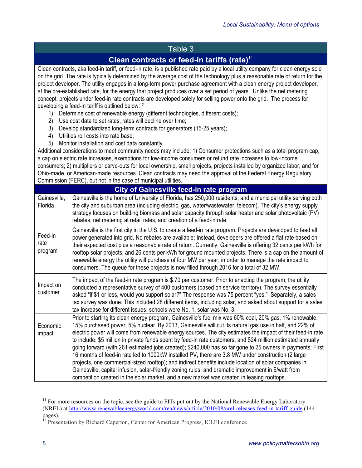### Table 3

## **Clean contracts or feed-in tariffs (rate)**<sup>11</sup>

Clean contracts, aka feed-in tariff, or feed-in rate, is a published rate paid by a local utility company for clean energy sold on the grid. The rate is typically determined by the average cost of the technology plus a reasonable rate of return for the project developer. The utility engages in a long-term power purchase agreement with a clean energy project developer, at the pre-established rate, for the energy that project produces over a set period of years. Unlike the net metering concept, projects under feed-in rate contracts are developed solely for selling power onto the grid. The process for developing a feed-in tariff is outlined below: 12

- 1) Determine cost of renewable energy (different technologies, different costs);
- 2) Use cost data to set rates, rates will decline over time;
- 3) Develop standardized long-term contracts for generators (15-25 years);
- 4) Utilities roll costs into rate base;
- 5) Monitor installation and cost data constantly.

Additional considerations to meet community needs may include: 1) Consumer protections such as a total program cap, a cap on electric rate increases, exemptions for low-income consumers or refund rate increases to low-income consumers; 2) multipliers or carve-outs for local ownership, small projects, projects installed by organized labor, and for Ohio-made, or American-made resources. Clean contracts may need the approval of the Federal Energy Regulatory Commission (FERC), but not in the case of municipal utilities.

|                            | <b>City of Gainesville feed-in rate program</b>                                                                                                                                                                                                                                                                                                                                                                                                                                                                                                                                                                                                                                                                                                                                                                                                                                                                                                                                      |
|----------------------------|--------------------------------------------------------------------------------------------------------------------------------------------------------------------------------------------------------------------------------------------------------------------------------------------------------------------------------------------------------------------------------------------------------------------------------------------------------------------------------------------------------------------------------------------------------------------------------------------------------------------------------------------------------------------------------------------------------------------------------------------------------------------------------------------------------------------------------------------------------------------------------------------------------------------------------------------------------------------------------------|
| Gainesville,<br>Florida    | Gainesville is the home of University of Florida, has 250,000 residents, and a municipal utility serving both<br>the city and suburban area (including electric, gas, water/wastewater, telecom). The city's energy supply<br>strategy focuses on building biomass and solar capacity through solar heater and solar photovoltaic (PV)<br>rebates, net metering at retail rates, and creation of a feed-in rate.                                                                                                                                                                                                                                                                                                                                                                                                                                                                                                                                                                     |
| Feed-in<br>rate<br>program | Gainesville is the first city in the U.S. to create a feed-in rate program. Projects are developed to feed all<br>power generated into grid. No rebates are available; Instead, developers are offered a flat rate based on<br>their expected cost plus a reasonable rate of return. Currently, Gainesville is offering 32 cents per kWh for<br>rooftop solar projects, and 26 cents per kWh for ground mounted projects. There is a cap on the amount of<br>renewable energy the utility will purchase of four MW per year, in order to manage the rate impact to<br>consumers. The queue for these projects is now filled through 2016 for a total of 32 MW.                                                                                                                                                                                                                                                                                                                       |
| Impact on<br>customer      | The impact of the feed-in rate program is \$.70 per customer. Prior to enacting the program, the utility<br>conducted a representative survey of 400 customers (based on service territory). The survey essentially<br>asked "if \$1 or less, would you support solar?" The response was 75 percent "yes." Separately, a sales<br>tax survey was done. This included 28 different items, including solar, and asked about support for a sales<br>tax increase for different issues: schools were No. 1, solar was No. 3.                                                                                                                                                                                                                                                                                                                                                                                                                                                             |
| Economic<br>impact         | Prior to starting its clean energy program, Gainesville's fuel mix was 60% coal, 20% gas, 1% renewable,<br>15% purchased power, 5% nuclear. By 2013, Gainesville will cut its natural gas use in half, and 22% of<br>electric power will come from renewable energy sources. The city estimates the impact of their feed-in rate<br>to include: \$5 million in private funds spent by feed-in rate customers, and \$24 million estimated annually<br>going forward (with 261 estimated jobs created); \$240,000 has so far gone to 25 owners in payments; First<br>16 months of feed-in rate led to 1000kW installed PV, there are 3.8 MW under construction (2 large<br>projects, one commercial-sized rooftop); and indirect benefits include location of solar companies in<br>Gainesville, capital infusion, solar-friendly zoning rules, and dramatic improvement in \$/watt from<br>competition created in the solar market, and a new market was created in leasing rooftops. |

<sup>&</sup>lt;sup>11</sup> For more resources on the topic, see the guide to FITs put out by the National Renewable Energy Laboratory (NREL) at http://www.renewableenergyworld.com/rea/news/article/2010/08/nrel-releases-feed-in-tariff-guide (144 pages).

<sup>&</sup>lt;sup>12</sup> Presentation by Richard Caperton, Center for American Progress, ICLEI conference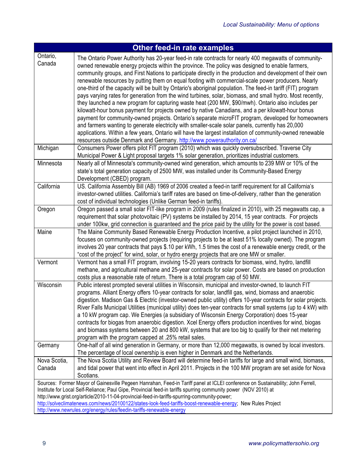| <b>Other feed-in rate examples</b> |                                                                                                                                                                                                                                                                                                                                                                                                                                                                                                                                                                                                                                                                                                                                                                                                                                                                                                                                                                                                                                                                                                                                                                                                                                                                          |  |
|------------------------------------|--------------------------------------------------------------------------------------------------------------------------------------------------------------------------------------------------------------------------------------------------------------------------------------------------------------------------------------------------------------------------------------------------------------------------------------------------------------------------------------------------------------------------------------------------------------------------------------------------------------------------------------------------------------------------------------------------------------------------------------------------------------------------------------------------------------------------------------------------------------------------------------------------------------------------------------------------------------------------------------------------------------------------------------------------------------------------------------------------------------------------------------------------------------------------------------------------------------------------------------------------------------------------|--|
| Ontario,<br>Canada                 | The Ontario Power Authority has 20-year feed-in rate contracts for nearly 400 megawatts of community-<br>owned renewable energy projects within the province. The policy was designed to enable farmers,<br>community groups, and First Nations to participate directly in the production and development of their own<br>renewable resources by putting them on equal footing with commercial-scale power producers. Nearly<br>one-third of the capacity will be built by Ontario's aboriginal population. The feed-in tariff (FIT) program<br>pays varying rates for generation from the wind turbines, solar, biomass, and small hydro. Most recently,<br>they launched a new program for capturing waste heat (200 MW, \$90/mwh). Ontario also includes per<br>kilowatt-hour bonus payment for projects owned by native Canadians, and a per kilowatt-hour bonus<br>payment for community-owned projects. Ontario's separate microFIT program, developed for homeowners<br>and farmers wanting to generate electricity with smaller-scale solar panels, currently has 20,000<br>applications. Within a few years, Ontario will have the largest installation of community-owned renewable<br>resources outside Denmark and Germany. http://www.powerauthority.on.ca/ |  |
| Michigan                           | Consumers Power offers pilot FIT program (2010) which was quickly oversubscribed. Traverse City<br>Municipal Power & Light proposal targets 1% solar generation, prioritizes industrial customers.                                                                                                                                                                                                                                                                                                                                                                                                                                                                                                                                                                                                                                                                                                                                                                                                                                                                                                                                                                                                                                                                       |  |
| Minnesota                          | Nearly all of Minnesota's community-owned wind generation, which amounts to 239 MW or 10% of the<br>state's total generation capacity of 2500 MW, was installed under its Community-Based Energy<br>Development (CBED) program.                                                                                                                                                                                                                                                                                                                                                                                                                                                                                                                                                                                                                                                                                                                                                                                                                                                                                                                                                                                                                                          |  |
| California                         | US. California Assembly Bill (AB) 1969 of 2006 created a feed-in tariff requirement for all California's<br>investor-owned utilities. California's tariff rates are based on time-of-delivery, rather than the generation<br>cost of individual technologies (Unlike German feed-in tariffs).                                                                                                                                                                                                                                                                                                                                                                                                                                                                                                                                                                                                                                                                                                                                                                                                                                                                                                                                                                            |  |
| Oregon                             | Oregon passed a small solar FIT-like program in 2009 (rules finalized in 2010), with 25 megawatts cap, a<br>requirement that solar photovoltaic (PV) systems be installed by 2014, 15 year contracts. For projects<br>under 100kw, grid connection is guaranteed and the price paid by the utility for the power is cost based.                                                                                                                                                                                                                                                                                                                                                                                                                                                                                                                                                                                                                                                                                                                                                                                                                                                                                                                                          |  |
| Maine                              | The Maine Community Based Renewable Energy Production Incentive, a pilot project launched in 2010,<br>focuses on community-owned projects (requiring projects to be at least 51% locally owned). The program<br>involves 20 year contracts that pays \$.10 per kWh, 1.5 times the cost of a renewable energy credit, or the<br>"cost of the project" for wind, solar, or hydro energy projects that are one MW or smaller.                                                                                                                                                                                                                                                                                                                                                                                                                                                                                                                                                                                                                                                                                                                                                                                                                                               |  |
| Vermont                            | Vermont has a small FIT program, involving 15-20 years contracts for biomass, wind, hydro, landfill<br>methane, and agricultural methane and 25-year contracts for solar power. Costs are based on production<br>costs plus a reasonable rate of return. There is a total program cap of 50 MW.                                                                                                                                                                                                                                                                                                                                                                                                                                                                                                                                                                                                                                                                                                                                                                                                                                                                                                                                                                          |  |
| Wisconsin                          | Public interest prompted several utilities in Wisconsin, municipal and investor-owned, to launch FIT<br>programs. Alliant Energy offers 10-year contracts for solar, landfill gas, wind, biomass and anaerobic<br>digestion. Madison Gas & Electric (investor-owned public utility) offers 10-year contracts for solar projects.<br>River Falls Municipal Utilities (municipal utility) does ten-year contracts for small systems (up to 4 kW) with<br>a 10 kW program cap. We Energies (a subsidiary of Wisconsin Energy Corporation) does 15-year<br>contracts for biogas from anaerobic digestion. Xcel Energy offers production incentives for wind, biogas<br>and biomass systems between 20 and 800 kW, systems that are too big to qualify for their net metering<br>program with the program capped at .25% retail sales.                                                                                                                                                                                                                                                                                                                                                                                                                                        |  |
| Germany                            | One-half of all wind generation in Germany, or more than 12,000 megawatts, is owned by local investors.<br>The percentage of local ownership is even higher in Denmark and the Netherlands.                                                                                                                                                                                                                                                                                                                                                                                                                                                                                                                                                                                                                                                                                                                                                                                                                                                                                                                                                                                                                                                                              |  |
| Nova Scotia,<br>Canada             | The Nova Scotia Utility and Review Board will determine feed-in tariffs for large and small wind, biomass,<br>and tidal power that went into effect in April 2011. Projects in the 100 MW program are set aside for Nova<br>Scotians.                                                                                                                                                                                                                                                                                                                                                                                                                                                                                                                                                                                                                                                                                                                                                                                                                                                                                                                                                                                                                                    |  |
|                                    | Sources: Former Mayor of Gainesville Pegeen Hanrahan, Feed-in Tariff panel at ICLEI conference on Sustainability; John Ferrell,<br>Institute for Local Self-Reliance; Paul Gipe, Provincial feed-in tariffs spurring community power (NOV 2010) at<br>http://www.grist.org/article/2010-11-04-provincial-feed-in-tariffs-spurring-community-power;<br>http://solveclimatenews.com/news/20100122/states-look-feed-tariffs-boost-renewable-energy; New Rules Project<br>http://www.newrules.org/energy/rules/feedin-tariffs-renewable-energy                                                                                                                                                                                                                                                                                                                                                                                                                                                                                                                                                                                                                                                                                                                               |  |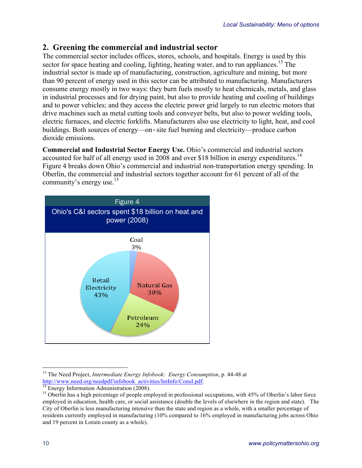### **2. Greening the commercial and industrial sector**

The commercial sector includes offices, stores, schools, and hospitals. Energy is used by this sector for space heating and cooling, lighting, heating water, and to run appliances.<sup>13</sup> The industrial sector is made up of manufacturing, construction, agriculture and mining, but more than 90 percent of energy used in this sector can be attributed to manufacturing. Manufacturers consume energy mostly in two ways: they burn fuels mostly to heat chemicals, metals, and glass in industrial processes and for drying paint, but also to provide heating and cooling of buildings and to power vehicles; and they access the electric power grid largely to run electric motors that drive machines such as metal cutting tools and conveyer belts, but also to power welding tools, electric furnaces, and electric forklifts. Manufacturers also use electricity to light, heat, and cool buildings. Both sources of energy—on*‐*site fuel burning and electricity—produce carbon dioxide emissions.

**Commercial and Industrial Sector Energy Use.** Ohio's commercial and industrial sectors accounted for half of all energy used in 2008 and over \$18 billion in energy expenditures.<sup>14</sup> Figure 4 breaks down Ohio's commercial and industrial non-transportation energy spending. In Oberlin, the commercial and industrial sectors together account for 61 percent of all of the community's energy use.<sup>15</sup>



<sup>&</sup>lt;sup>13</sup> The Need Project, *Intermediate Energy Infobook: Energy Consumption*, p. 44-48 at http://www.need.org/needpdf/infobook activities/Intlnfo/ConsI.pdf.

<sup>&</sup>lt;sup>14</sup> Energy Information Administration (2008).<br><sup>15</sup> Oberlin has a high percentage of people employed in professional occupations, with 45% of Oberlin's labor force employed in education, health care, or social assistance (double the levels of elsewhere in the region and state). The City of Oberlin is less manufacturing intensive than the state and region as a whole, with a smaller percentage of residents currently employed in manufacturing (10% compared to 16% employed in manufacturing jobs across Ohio and 19 percent in Lorain county as a whole).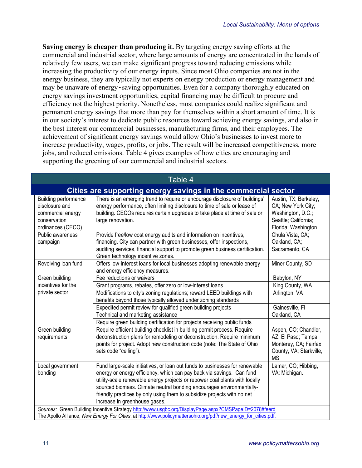**Saving energy is cheaper than producing it.** By targeting energy saving efforts at the commercial and industrial sector, where large amounts of energy are concentrated in the hands of relatively few users, we can make significant progress toward reducing emissions while increasing the productivity of our energy inputs. Since most Ohio companies are not in the energy business, they are typically not experts on energy production or energy management and may be unaware of energy*‐*saving opportunities. Even for a company thoroughly educated on energy savings investment opportunities, capital financing may be difficult to procure and efficiency not the highest priority. Nonetheless, most companies could realize significant and permanent energy savings that more than pay for themselves within a short amount of time. It is in our society's interest to dedicate public resources toward achieving energy savings, and also in the best interest our commercial businesses, manufacturing firms, and their employees. The achievement of significant energy savings would allow Ohio's businesses to invest more to increase productivity, wages, profits, or jobs. The result will be increased competitiveness, more jobs, and reduced emissions. Table 4 gives examples of how cities are encouraging and supporting the greening of our commercial and industrial sectors.

| Table 4                                                                                                        |                                                                                                                                                                                                                                                                                                                                                                                                                         |                                                                                                                  |
|----------------------------------------------------------------------------------------------------------------|-------------------------------------------------------------------------------------------------------------------------------------------------------------------------------------------------------------------------------------------------------------------------------------------------------------------------------------------------------------------------------------------------------------------------|------------------------------------------------------------------------------------------------------------------|
|                                                                                                                | Cities are supporting energy savings in the commercial sector                                                                                                                                                                                                                                                                                                                                                           |                                                                                                                  |
| <b>Building performance</b><br>disclosure and<br>commercial energy<br>conservation<br>ordinances (CECO)        | There is an emerging trend to require or encourage disclosure of buildings'<br>energy performance, often limiting disclosure to time of sale or lease of<br>building. CECOs requires certain upgrades to take place at time of sale or<br>large renovation.                                                                                                                                                             | Austin, TX; Berkeley,<br>CA; New York City;<br>Washington, D.C.;<br>Seattle; California;<br>Florida; Washington. |
| <b>Public awareness</b><br>campaign                                                                            | Provide free/low cost energy audits and information on incentives,<br>financing. City can partner with green businesses, offer inspections,<br>auditing services, financial support to promote green business certification.<br>Green technology incentive zones.                                                                                                                                                       | Chula Vista, CA;<br>Oakland, CA;<br>Sacramento, CA                                                               |
| Revolving loan fund                                                                                            | Offers low-interest loans for local businesses adopting renewable energy<br>and energy efficiency measures.                                                                                                                                                                                                                                                                                                             | Miner County, SD                                                                                                 |
| Green building                                                                                                 | Fee reductions or waivers                                                                                                                                                                                                                                                                                                                                                                                               | Babylon, NY                                                                                                      |
| incentives for the                                                                                             | Grant programs, rebates, offer zero or low-interest loans                                                                                                                                                                                                                                                                                                                                                               | King County, WA                                                                                                  |
| private sector                                                                                                 | Modifications to city's zoning regulations; reward LEED buildings with<br>benefits beyond those typically allowed under zoning standards                                                                                                                                                                                                                                                                                | Arlington, VA                                                                                                    |
|                                                                                                                | Expedited permit review for qualified green building projects                                                                                                                                                                                                                                                                                                                                                           | Gainesville, FI                                                                                                  |
|                                                                                                                | Technical and marketing assistance                                                                                                                                                                                                                                                                                                                                                                                      | Oakland, CA                                                                                                      |
|                                                                                                                | Require green building certification for projects receiving public funds                                                                                                                                                                                                                                                                                                                                                |                                                                                                                  |
| Green building<br>requirements                                                                                 | Require efficient building checklist in building permit process. Require<br>deconstruction plans for remodeling or deconstruction. Require minimum<br>points for project. Adopt new construction code (note: The State of Ohio<br>sets code "ceiling").                                                                                                                                                                 | Aspen, CO; Chandler,<br>AZ; El Paso; Tampa;<br>Monterey, CA; Fairfax<br>County, VA; Starkville,<br>ΜS            |
| Local government<br>bonding                                                                                    | Fund large-scale initiatives, or loan out funds to businesses for renewable<br>energy or energy efficiency, which can pay back via savings. Can fund<br>utility-scale renewable energy projects or repower coal plants with locally<br>sourced biomass. Climate neutral bonding encourages environmentally-<br>friendly practices by only using them to subsidize projects with no net<br>increase in greenhouse gases. | Lamar, CO; Hibbing,<br>VA; Michigan.                                                                             |
| Sources: Green Building Incentive Strategy http://www.usgbc.org/DisplayPage.aspx?CMSPageID=2078#feerd          |                                                                                                                                                                                                                                                                                                                                                                                                                         |                                                                                                                  |
| The Apollo Alliance, New Energy For Cities, at http://www.policymattersohio.org/pdf/new_energy_for_cities.pdf. |                                                                                                                                                                                                                                                                                                                                                                                                                         |                                                                                                                  |

#### Table 4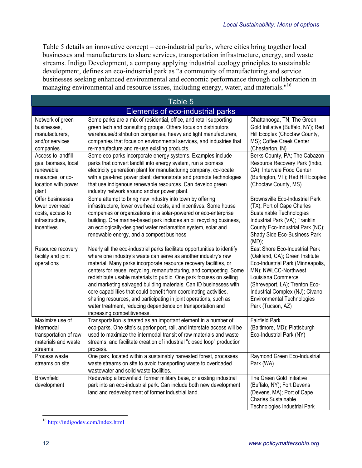Table 5 details an innovative concept – eco-industrial parks, where cities bring together local businesses and manufacturers to share services, transportation infrastructure, energy, and waste streams. Indigo Development, a company applying industrial ecology principles to sustainable development, defines an eco-industrial park as "a community of manufacturing and service businesses seeking enhanced environmental and economic performance through collaboration in managing environmental and resource issues, including energy, water, and materials."16

| Table 5                                                                                                                                     |                                                                                                                                                                                                                                                                                                                                                                                                                                                                                                                                                                                                                                                                             |                                                                                                                                                                                                                                                                                    |  |
|---------------------------------------------------------------------------------------------------------------------------------------------|-----------------------------------------------------------------------------------------------------------------------------------------------------------------------------------------------------------------------------------------------------------------------------------------------------------------------------------------------------------------------------------------------------------------------------------------------------------------------------------------------------------------------------------------------------------------------------------------------------------------------------------------------------------------------------|------------------------------------------------------------------------------------------------------------------------------------------------------------------------------------------------------------------------------------------------------------------------------------|--|
| Elements of eco-industrial parks                                                                                                            |                                                                                                                                                                                                                                                                                                                                                                                                                                                                                                                                                                                                                                                                             |                                                                                                                                                                                                                                                                                    |  |
| Network of green<br>businesses,<br>manufacturers.<br>and/or services<br>companies<br>Access to landfill<br>gas, biomass, local<br>renewable | Some parks are a mix of residential, office, and retail supporting<br>green tech and consulting groups. Others focus on distributors<br>warehouse/distribution companies, heavy and light manufacturers,<br>companies that focus on environmental services, and industries that<br>re-manufacture and re-use existing products.<br>Some eco-parks incorporate energy systems. Examples include<br>parks that convert landfill into energy system, run a biomass<br>electricity generation plant for manufacturing company, co-locate                                                                                                                                        | Chattanooga, TN; The Green<br>Gold Initiative (Buffalo, NY); Red<br>Hill Ecoplex (Choctaw County,<br>MS); Coffee Creek Center<br>(Chesterton, IN)<br>Berks County, PA; The Cabazon<br>Resource Recovery Park (Indio,<br>CA); Intervale Food Center                                 |  |
| resources, or co-<br>location with power<br>plant                                                                                           | with a gas-fired power plant; demonstrate and promote technologies<br>that use indigenous renewable resources. Can develop green<br>industry network around anchor power plant.                                                                                                                                                                                                                                                                                                                                                                                                                                                                                             | (Burlington, VT); Red Hill Ecoplex<br>(Choctaw County, MS)                                                                                                                                                                                                                         |  |
| Offer businesses<br>lower overhead<br>costs, access to<br>infrastructure,<br>incentives                                                     | Some attempt to bring new industry into town by offering<br>infrastructure, lower overhead costs, and incentives. Some house<br>companies or organizations in a solar-powered or eco-enterprise<br>building. One marine-based park includes an oil recycling business,<br>an ecologically-designed water reclamation system, solar and<br>renewable energy, and a compost business                                                                                                                                                                                                                                                                                          | <b>Brownsville Eco-Industrial Park</b><br>(TX); Port of Cape Charles<br>Sustainable Technologies<br>Industrial Park (VA); Franklin<br>County Eco-Industrial Park (NC);<br>Shady Side Eco-Business Park<br>$(MD)$ ;                                                                 |  |
| Resource recovery<br>facility and joint<br>operations                                                                                       | Nearly all the eco-industrial parks facilitate opportunities to identify<br>where one industry's waste can serve as another industry's raw<br>material. Many parks incorporate resource recovery facilities, or<br>centers for reuse, recycling, remanufacturing, and composting. Some<br>redistribute usable materials to public. One park focuses on selling<br>and marketing salvaged building materials. Can ID businesses with<br>core capabilities that could benefit from coordinating activities,<br>sharing resources, and participating in joint operations, such as<br>water treatment, reducing dependence on transportation and<br>increasing competitiveness. | East Shore Eco-Industrial Park<br>(Oakland, CA); Green Institute<br>Eco-Industrial Park (Minneapolis,<br>MN); NWLCC-Northwest<br>Louisiana Commerce<br>(Shreveport, LA); Trenton Eco-<br>Industrial Complex (NJ); Civano<br><b>Environmental Technologies</b><br>Park (Tucson, AZ) |  |
| Maximize use of<br>intermodal<br>transportation of raw<br>materials and waste<br>streams                                                    | Transportation is treated as an important element in a number of<br>eco-parks. One site's superior port, rail, and interstate access will be<br>used to maximize the intermodal transit of raw materials and waste<br>streams, and facilitate creation of industrial "closed loop" production<br>process.                                                                                                                                                                                                                                                                                                                                                                   | <b>Fairfield Park</b><br>(Baltimore, MD); Plattsburgh<br>Eco-Industrial Park (NY)                                                                                                                                                                                                  |  |
| Process waste<br>streams on site                                                                                                            | One park, located within a sustainably harvested forest, processes<br>waste streams on site to avoid transporting waste to overloaded<br>wastewater and solid waste facilities.                                                                                                                                                                                                                                                                                                                                                                                                                                                                                             | Raymond Green Eco-Industrial<br>Park (WA)                                                                                                                                                                                                                                          |  |
| <b>Brownfield</b><br>development                                                                                                            | Redevelop a brownfield, former military base, or existing industrial<br>park into an eco-industrial park. Can include both new development<br>land and redevelopment of former industrial land.                                                                                                                                                                                                                                                                                                                                                                                                                                                                             | The Green Gold Initiative<br>(Buffalo, NY); Fort Devens<br>(Devens, MA); Port of Cape<br><b>Charles Sustainable</b><br><b>Technologies Industrial Park</b>                                                                                                                         |  |

 <sup>16</sup> http://indigodev.com/index.html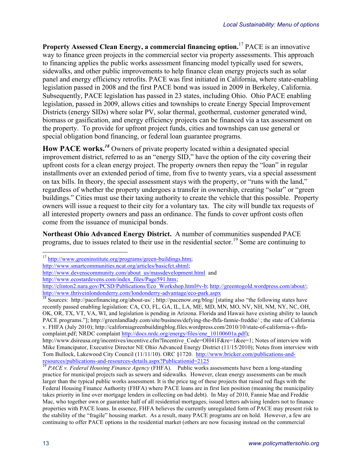**Property Assessed Clean Energy, a commercial financing option.** <sup>17</sup> PACE is an innovative way to finance green projects in the commercial sector via property assessments. This approach to financing applies the public works assessment financing model typically used for sewers, sidewalks, and other public improvements to help finance clean energy projects such as solar panel and energy efficiency retrofits. PACE was first initiated in California, where state-enabling legislation passed in 2008 and the first PACE bond was issued in 2009 in Berkeley, California. Subsequently, PACE legislation has passed in 23 states, including Ohio. Ohio PACE enabling legislation, passed in 2009, allows cities and townships to create Energy Special Improvement Districts (energy SIDs) where solar PV, solar thermal, geothermal, customer generated wind, biomass or gasification, and energy efficiency projects can be financed via a tax assessment on the property. To provide for upfront project funds, cities and townships can use general or special obligation bond financing, or federal loan guarantee programs.

How PACE works.<sup>18</sup> Owners of private property located within a designated special improvement district, referred to as an "energy SID," have the option of the city covering their upfront costs for a clean energy project. The property owners then repay the "loan" in regular installments over an extended period of time, from five to twenty years, via a special assessment on tax bills. In theory, the special assessment stays with the property, or "runs with the land," regardless of whether the property undergoes a transfer in ownership, creating "solar" or "green buildings." Cities must use their taxing authority to create the vehicle that this possible. Property owners will issue a request to their city for a voluntary tax. The city will bundle tax requests of all interested property owners and pass an ordinance. The funds to cover upfront costs often come from the issuance of municipal bonds.

**Northeast Ohio Advanced Energy District.**A number of communities suspended PACE programs, due to issues related to their use in the residential sector.<sup>19</sup> Some are continuing to

 $17 \text{ http://www.greeninstitute.org/programs/green-buildings.htm};$ 

http://www.smartcommunities.ncat.org/articles/basicfct.shtml;

http://www.devenscommunity.com/about\_us/massdevelopment.html and

http://www.ecostardevens.com/index\_files/Page591.htm;

http://clinton2.nara.gov/PCSD/Publications/Eco\_Workshop.html#v-b; http://greentogold.wordpress.com/about/; http://www.thriveinlondonderry.com/londonderry-advantage/eco-park.aspx

 $\frac{18}{18}$  Sources: http://pacefinancing.org/about-us/ ; http://pacenow.org/blog/ [stating also "the following states have recently passed enabling legislation: CA, CO, FL, GA, IL, LA, ME, MD, MN, MO, NV, NH, NM, NY, NC, OH, OK, OR, TX, VT, VA, WI, and legislation is pending in Arizona. Florida and Hawaii have existing ability to launch PACE programs."]; http://greenlandlady.com/site/business/defying-the-fhfa-fannie-freddie/ ; the state of California v. FHFA (July 2010); http://californiagreenbuildingblog.files.wordpress.com/2010/10/state-of-california-v-fhfacomplaint.pdf; NRDC complaint http://docs.nrdc.org/energy/files/ene\_10100601a.pdf);

http://www.dsireusa.org/incentives/incentive.cfm?Incentive Code=OH41F&re=1&ee=1; Notes of interview with Mike Emancipator, Executive Director NE Ohio Advanced Energy District (11/15/2010); Notes from interview with Tom Bullock, Lakewood City Council (11/11/10). ORC §1720. http://www.bricker.com/publications-andresources/publications-and-resources-details.aspx?Publicationid=2125 <sup>19</sup> *PACE v. Federal Housing Finance Agency* (FHFA). Public works assessments have been a long-standing

practice for municipal projects such as sewers and sidewalks. However, clean energy assessments can be much larger than the typical public works assessment. It is the price tag of these projects that raised red flags with the Federal Housing Finance Authority (FHFA) where PACE loans are in first lien position (meaning the municipality takes priority in line over mortgage lenders in collecting on bad debt). In May of 2010, Fannie Mae and Freddie Mac, who together own or guarantee half of all residential mortgages, issued letters advising lenders not to finance properties with PACE loans. In essence, FHFA believes the currently unregulated form of PACE may present risk to the stability of the "fragile" housing market. As a result, many PACE programs are on hold. However, a few are continuing to offer PACE options in the residential market (others are now focusing instead on the commercial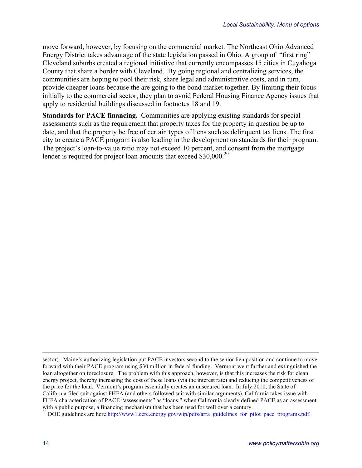move forward, however, by focusing on the commercial market. The Northeast Ohio Advanced Energy District takes advantage of the state legislation passed in Ohio. A group of "first ring" Cleveland suburbs created a regional initiative that currently encompasses 15 cities in Cuyahoga County that share a border with Cleveland. By going regional and centralizing services, the communities are hoping to pool their risk, share legal and administrative costs, and in turn, provide cheaper loans because the are going to the bond market together. By limiting their focus initially to the commercial sector, they plan to avoid Federal Housing Finance Agency issues that apply to residential buildings discussed in footnotes 18 and 19.

**Standards for PACE financing.** Communities are applying existing standards for special assessments such as the requirement that property taxes for the property in question be up to date, and that the property be free of certain types of liens such as delinquent tax liens. The first city to create a PACE program is also leading in the development on standards for their program. The project's loan-to-value ratio may not exceed 10 percent, and consent from the mortgage lender is required for project loan amounts that exceed \$30,000.<sup>20</sup>

sector). Maine's authorizing legislation put PACE investors second to the senior lien position and continue to move forward with their PACE program using \$30 million in federal funding. Vermont went further and extinguished the loan altogether on foreclosure. The problem with this approach, however, is that this increases the risk for clean energy project, thereby increasing the cost of these loans (via the interest rate) and reducing the competitiveness of the price for the loan. Vermont's program essentially creates an unsecured loan. In July 2010, the State of California filed suit against FHFA (and others followed suit with similar arguments). California takes issue with FHFA characterization of PACE "assessments" as "loans," when California clearly defined PACE as an assessment with a public purpose, a financing mechanism that has been used for well over a century.<br><sup>20</sup> DOE guidelines are here http://www1.eere.energy.gov/wip/pdfs/arra\_guidelines\_for\_pilot\_pace\_programs.pdf.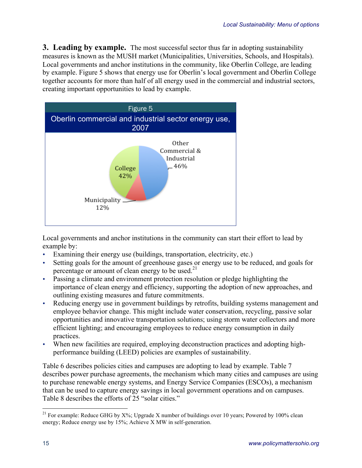**3. Leading by example.** The most successful sector thus far in adopting sustainability measures is known as the MUSH market (Municipalities, Universities, Schools, and Hospitals). Local governments and anchor institutions in the community, like Oberlin College, are leading by example. Figure 5 shows that energy use for Oberlin's local government and Oberlin College together accounts for more than half of all energy used in the commercial and industrial sectors, creating important opportunities to lead by example.



Local governments and anchor institutions in the community can start their effort to lead by example by:

- Examining their energy use (buildings, transportation, electricity, etc.)
- Setting goals for the amount of greenhouse gases or energy use to be reduced, and goals for percentage or amount of clean energy to be used.<sup>21</sup>
- Passing a climate and environment protection resolution or pledge highlighting the importance of clean energy and efficiency, supporting the adoption of new approaches, and outlining existing measures and future commitments.
- Reducing energy use in government buildings by retrofits, building systems management and employee behavior change. This might include water conservation, recycling, passive solar opportunities and innovative transportation solutions; using storm water collectors and more efficient lighting; and encouraging employees to reduce energy consumption in daily practices.
- When new facilities are required, employing deconstruction practices and adopting highperformance building (LEED) policies are examples of sustainability.

Table 6 describes policies cities and campuses are adopting to lead by example. Table 7 describes power purchase agreements, the mechanism which many cities and campuses are using to purchase renewable energy systems, and Energy Service Companies (ESCOs), a mechanism that can be used to capture energy savings in local government operations and on campuses. Table 8 describes the efforts of 25 "solar cities."

<sup>&</sup>lt;sup>21</sup> For example: Reduce GHG by X%; Upgrade X number of buildings over 10 years; Powered by 100% clean energy; Reduce energy use by 15%; Achieve X MW in self-generation.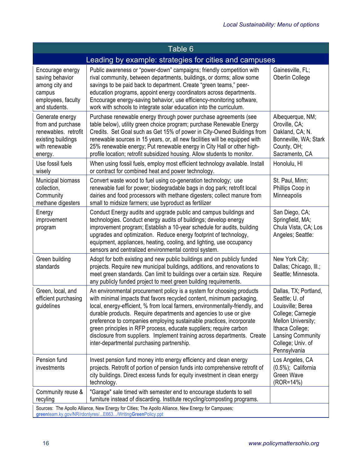| Table 6                                                                                                                                                         |                                                                                                                                                                                                                                                                                                                                                                                                                                                                                                                                                                             |                                                                                                                                                                                      |
|-----------------------------------------------------------------------------------------------------------------------------------------------------------------|-----------------------------------------------------------------------------------------------------------------------------------------------------------------------------------------------------------------------------------------------------------------------------------------------------------------------------------------------------------------------------------------------------------------------------------------------------------------------------------------------------------------------------------------------------------------------------|--------------------------------------------------------------------------------------------------------------------------------------------------------------------------------------|
|                                                                                                                                                                 | Leading by example: strategies for cities and campuses                                                                                                                                                                                                                                                                                                                                                                                                                                                                                                                      |                                                                                                                                                                                      |
| Encourage energy<br>saving behavior<br>among city and<br>campus<br>employees, faculty<br>and students.                                                          | Public awareness or "power-down" campaigns; friendly competition with<br>rival community, between departments, buildings, or dorms; allow some<br>savings to be paid back to department. Create "green teams," peer-<br>education programs, appoint energy coordinators across departments.<br>Encourage energy-saving behavior, use efficiency-monitoring software,<br>work with schools to integrate solar education into the curriculum.                                                                                                                                 | Gainesville, FL;<br>Oberlin College                                                                                                                                                  |
| Generate energy<br>from and purchase<br>renewables. retrofit<br>existing buildings<br>with renewable<br>energy.                                                 | Purchase renewable energy through power purchase agreements (see<br>table below), utility green choice program; purchase Renewable Energy<br>Credits. Set Goal such as Get 15% of power in City-Owned Buildings from<br>renewable sources in 15 years, or, all new facilities will be equipped with<br>25% renewable energy; Put renewable energy in City Hall or other high-<br>profile location; retrofit subsidized housing. Allow students to monitor.                                                                                                                  | Albequerque, NM;<br>Oroville, CA;<br>Oakland, CA; N.<br>Bonneville, WA; Stark<br>County, OH;<br>Sacramento, CA                                                                       |
| Use fossil fuels<br>wisely                                                                                                                                      | When using fossil fuels, employ most efficient technology available. Install<br>or contract for combined heat and power technology.                                                                                                                                                                                                                                                                                                                                                                                                                                         | Honolulu, HI                                                                                                                                                                         |
| Municipal biomass<br>collection,<br>Community<br>methane digesters                                                                                              | Convert waste wood to fuel using co-generation technology; use<br>renewable fuel for power; biodegradable bags in dog park; retrofit local<br>dairies and food processors with methane digesters; collect manure from<br>small to midsize farmers; use byproduct as fertilizer                                                                                                                                                                                                                                                                                              | St. Paul, Minn;<br>Phillips Coop in<br>Minneapolis                                                                                                                                   |
| Energy<br>improvement<br>program                                                                                                                                | Conduct Energy audits and upgrade public and campus buildings and<br>technologies. Conduct energy audits of buildings; develop energy<br>improvement program; Establish a 10-year schedule for audits, building<br>upgrades and optimization. Reduce energy footprint of technology,<br>equipment, appliances, heating, cooling, and lighting, use occupancy<br>sensors and centralized environmental control system.                                                                                                                                                       | San Diego, CA;<br>Springfield, MA;<br>Chula Vista, CA; Los<br>Angeles; Seattle:                                                                                                      |
| Green building<br>standards                                                                                                                                     | Adopt for both existing and new public buildings and on publicly funded<br>projects. Require new municipal buildings, additions, and renovations to<br>meet green standards. Can limit to buildings over a certain size. Require<br>any publicly funded project to meet green building requirements.                                                                                                                                                                                                                                                                        | New York City;<br>Dallas; Chicago, Ill.;<br>Seattle; Minnesota.                                                                                                                      |
| Green, local, and<br>efficient purchasing<br>guidelines                                                                                                         | An environmental procurement policy is a system for choosing products<br>with minimal impacts that favors recycled content, minimum packaging,<br>local, energy-efficient, % from local farmers, environmentally-friendly, and<br>durable products. Require departments and agencies to use or give<br>preference to companies employing sustainable practices, incorporate<br>green principles in RFP process, educate suppliers; require carbon<br>disclosure from suppliers. Implement training across departments. Create<br>inter-departmental purchasing partnership. | Dallas, TX; Portland,<br>Seattle; U. of<br>Louisville; Berea<br>College; Carnegie<br>Mellon University;<br>Ithaca College;<br>Lansing Community<br>College; Univ. of<br>Pennsylvania |
| Pension fund<br>investments                                                                                                                                     | Invest pension fund money into energy efficiency and clean energy<br>projects. Retrofit of portion of pension funds into comprehensive retrofit of<br>city buildings. Direct excess funds for equity investment in clean energy<br>technology.                                                                                                                                                                                                                                                                                                                              | Los Angeles, CA<br>$(0.5\%)$ ; California<br>Green Wave<br>(ROR=14%)                                                                                                                 |
| Community reuse &<br>recyling                                                                                                                                   | "Garage" sale timed with semester end to encourage students to sell<br>furniture instead of discarding. Institute recycling/composting programs.                                                                                                                                                                                                                                                                                                                                                                                                                            |                                                                                                                                                                                      |
| Sources: The Apollo Alliance, New Energy for Cities; The Apollo Alliance, New Energy for Campuses;<br>greenteam.ky.gov/NR/rdonlyres/E663/WritingGreenPolicy.ppt |                                                                                                                                                                                                                                                                                                                                                                                                                                                                                                                                                                             |                                                                                                                                                                                      |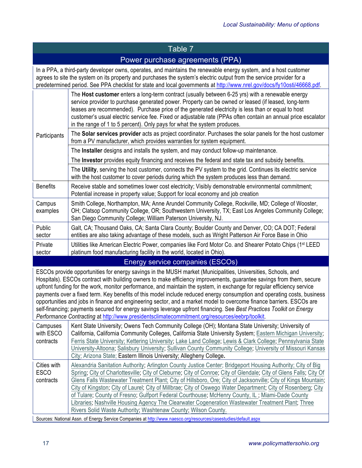# Table 7

# Power purchase agreements (PPA)

In a PPA, a third-party developer owns, operates, and maintains the renewable energy system, and a host customer agrees to site the system on its property and purchases the system's electric output from the service provider for a predetermined period. See PPA checklist for state and local governments at http://www.nrel.gov/docs/fy10osti/46668.pdf.

|                                         | The Host customer enters a long-term contract (usually between 6-25 yrs) with a renewable energy<br>service provider to purchase generated power. Property can be owned or leased (if leased, long-term<br>leases are recommended). Purchase price of the generated electricity is less than or equal to host<br>customer's usual electric service fee. Fixed or adjustable rate (PPAs often contain an annual price escalator<br>in the range of 1 to 5 percent). Only pays for what the system produces.<br>The Solar services provider acts as project coordinator. Purchases the solar panels for the host customer                                                                                                                                                                                                                                        |
|-----------------------------------------|----------------------------------------------------------------------------------------------------------------------------------------------------------------------------------------------------------------------------------------------------------------------------------------------------------------------------------------------------------------------------------------------------------------------------------------------------------------------------------------------------------------------------------------------------------------------------------------------------------------------------------------------------------------------------------------------------------------------------------------------------------------------------------------------------------------------------------------------------------------|
| Participants                            | from a PV manufacturer, which provides warranties for system equipment.                                                                                                                                                                                                                                                                                                                                                                                                                                                                                                                                                                                                                                                                                                                                                                                        |
|                                         | The Installer designs and installs the system, and may conduct follow-up maintenance.                                                                                                                                                                                                                                                                                                                                                                                                                                                                                                                                                                                                                                                                                                                                                                          |
|                                         | The Investor provides equity financing and receives the federal and state tax and subsidy benefits.                                                                                                                                                                                                                                                                                                                                                                                                                                                                                                                                                                                                                                                                                                                                                            |
|                                         | The Utility, serving the host customer, connects the PV system to the grid. Continues its electric service<br>with the host customer to cover periods during which the system produces less than demand.                                                                                                                                                                                                                                                                                                                                                                                                                                                                                                                                                                                                                                                       |
| <b>Benefits</b>                         | Receive stable and sometimes lower cost electricity; Visibly demonstrable environmental commitment;<br>Potential increase in property value; Support for local economy and job creation                                                                                                                                                                                                                                                                                                                                                                                                                                                                                                                                                                                                                                                                        |
| Campus<br>examples                      | Smith College, Northampton, MA; Anne Arundel Community College, Rockville, MD; College of Wooster,<br>OH; Clatsop Community College, OR; Southwestern University, TX; East Los Angeles Community College;<br>San Diego Community College; William Paterson University, NJ.                                                                                                                                                                                                                                                                                                                                                                                                                                                                                                                                                                                     |
| Public<br>sector                        | Galt, CA; Thousand Oaks, CA; Santa Clara County; Boulder County and Denver, CO; CA DOT; Federal<br>entities are also taking advantage of these models, such as Wright Patterson Air Force Base in Ohio                                                                                                                                                                                                                                                                                                                                                                                                                                                                                                                                                                                                                                                         |
| Private<br>sector                       | Utilities like American Electric Power, companies like Ford Motor Co. and Shearer Potato Chips (1 <sup>st</sup> LEED<br>platinum food manufacturing facility in the world, located in Ohio).                                                                                                                                                                                                                                                                                                                                                                                                                                                                                                                                                                                                                                                                   |
|                                         |                                                                                                                                                                                                                                                                                                                                                                                                                                                                                                                                                                                                                                                                                                                                                                                                                                                                |
|                                         | Energy service companies (ESCOs)                                                                                                                                                                                                                                                                                                                                                                                                                                                                                                                                                                                                                                                                                                                                                                                                                               |
|                                         | ESCOs provide opportunities for energy savings in the MUSH market (Municipalities, Universities, Schools, and<br>Hospitals). ESCOs contract with building owners to make efficiency improvements, guarantee savings from them, secure<br>upfront funding for the work, monitor performance, and maintain the system, in exchange for regular efficiency service<br>payments over a fixed term. Key benefits of this model include reduced energy consumption and operating costs, business<br>opportunities and jobs in finance and engineering sector, and a market model to overcome finance barriers. ESCOs are<br>self-financing; payments secured for energy savings leverage upfront financing. See Best Practices Toolkit on Energy<br>Performance Contracting at http://www.presidentsclimatecommitment.org/resources/eebrp/toolkit.                   |
| Campuses<br>with ESCO<br>contracts      | Kent State University; Owens Tech Community College (OH); Montana State University; University of<br>California, California Community Colleges, California State University System; Eastern Michigan University;<br>Ferris State University; Kettering University; Lake Land College; Lewis & Clark College; Pennsylvania State<br>University-Altoona; Salisbury University; Sullivan County Community College; University of Missouri Kansas<br>City; Arizona State; Eastern Illinois University; Allegheny College.                                                                                                                                                                                                                                                                                                                                          |
| Cities with<br><b>ESCO</b><br>contracts | Alexandria Sanitation Authority; Arlington County Justice Center; Bridgeport Housing Authority; City of Big<br>Spring; City of Charlottesville; City of Cleburne; City of Conroe; City of Glendale; City of Glens Falls; City Of<br>Glens Falls Wastewater Treatment Plant; City of Hillsboro, Ore; City of Jacksonville; City of Kings Mountain;<br>City of Kingston; City of Laurel; City of Millbrae; City of Oswego Water Department; City of Rosenberg; City<br>of Tulare; County of Fresno; Gulfport Federal Courthouse; McHenry County, IL; Miami-Dade County<br>Libraries; Nashville Housing Agency The Clearwater Cogeneration Wastewater Treatment Plant; Three<br>Rivers Solid Waste Authority; Washtenaw County; Wilson County.<br>Sources: National Assn. of Energy Service Companies at http://www.naesco.org/resources/casestudies/default.aspx |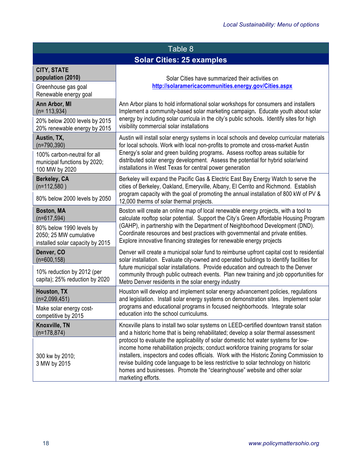| Table 8                                                                                                                      |                                                                                                                                                                                                                                                                                                                                                                                                                                                                                                                                                                                                                                                   |  |
|------------------------------------------------------------------------------------------------------------------------------|---------------------------------------------------------------------------------------------------------------------------------------------------------------------------------------------------------------------------------------------------------------------------------------------------------------------------------------------------------------------------------------------------------------------------------------------------------------------------------------------------------------------------------------------------------------------------------------------------------------------------------------------------|--|
| <b>Solar Cities: 25 examples</b>                                                                                             |                                                                                                                                                                                                                                                                                                                                                                                                                                                                                                                                                                                                                                                   |  |
| <b>CITY, STATE</b><br>population (2010)<br>Greenhouse gas goal<br>Renewable energy goal                                      | Solar Cities have summarized their activities on<br>http://solaramericacommunities.energy.gov/Cities.aspx                                                                                                                                                                                                                                                                                                                                                                                                                                                                                                                                         |  |
| Ann Arbor, MI<br>$(n= 113, 934)$<br>20% below 2000 levels by 2015<br>20% renewable energy by 2015                            | Ann Arbor plans to hold informational solar workshops for consumers and installers<br>Implement a community-based solar marketing campaign. Educate youth about solar<br>energy by including solar curricula in the city's public schools. Identify sites for high<br>visibility commercial solar installations                                                                                                                                                                                                                                                                                                                                   |  |
| Austin, TX,<br>$(n=790,390)$<br>100% carbon-neutral for all<br>municipal functions by 2020;<br>100 MW by 2020                | Austin will install solar energy systems in local schools and develop curricular materials<br>for local schools. Work with local non-profits to promote and cross-market Austin<br>Energy's solar and green building programs. Assess rooftop areas suitable for<br>distributed solar energy development. Assess the potential for hybrid solar/wind<br>installations in West Texas for central power generation                                                                                                                                                                                                                                  |  |
| Berkeley, CA<br>$(n=112,580)$<br>80% below 2000 levels by 2050                                                               | Berkeley will expand the Pacific Gas & Electric East Bay Energy Watch to serve the<br>cities of Berkeley, Oakland, Emeryville, Albany, El Cerrito and Richmond. Establish<br>program capacity with the goal of promoting the annual installation of 800 kW of PV &<br>12,000 therms of solar thermal projects.                                                                                                                                                                                                                                                                                                                                    |  |
| <b>Boston, MA</b><br>$(n=617,594)$<br>80% below 1990 levels by<br>2050; 25 MW cumulative<br>installed solar capacity by 2015 | Boston will create an online map of local renewable energy projects, with a tool to<br>calculate rooftop solar potential. Support the City's Green Affordable Housing Program<br>(GAHP), in partnership with the Department of Neighborhood Development (DND).<br>Coordinate resources and best practices with governmental and private entities.<br>Explore innovative financing strategies for renewable energy projects                                                                                                                                                                                                                        |  |
| Denver, CO<br>$(n=600, 158)$<br>10% reduction by 2012 (per<br>capita); 25% reduction by 2020                                 | Denver will create a municipal solar fund to reimburse upfront capital cost to residential<br>solar installation. Evaluate city-owned and operated buildings to identify facilities for<br>future municipal solar installations. Provide education and outreach to the Denver<br>community through public outreach events. Plan new training and job opportunities for<br>Metro Denver residents in the solar energy industry                                                                                                                                                                                                                     |  |
| Houston, TX<br>$(n=2,099,451)$<br>Make solar energy cost-<br>competitive by 2015                                             | Houston will develop and implement solar energy advancement policies, regulations<br>and legislation. Install solar energy systems on demonstration sites. Implement solar<br>programs and educational programs in focused neighborhoods. Integrate solar<br>education into the school curriculums.                                                                                                                                                                                                                                                                                                                                               |  |
| Knoxville, TN<br>$(n=178,874)$<br>300 kw by 2010;<br>3 MW by 2015                                                            | Knoxville plans to install two solar systems on LEED-certified downtown transit station<br>and a historic home that is being rehabilitated; develop a solar thermal assessment<br>protocol to evaluate the applicability of solar domestic hot water systems for low-<br>income home rehabilitation projects; conduct workforce training programs for solar<br>installers, inspectors and codes officials. Work with the Historic Zoning Commission to<br>revise building code language to be less restrictive to solar technology on historic<br>homes and businesses. Promote the "clearinghouse" website and other solar<br>marketing efforts. |  |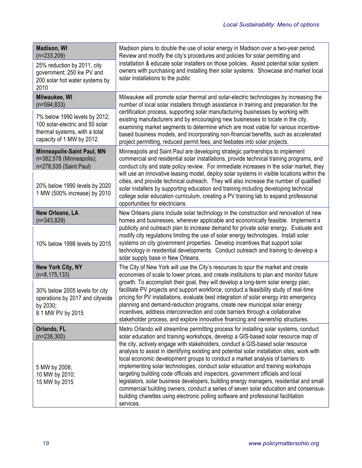| <b>Madison, WI</b><br>$(n=233,209)$<br>25% reduction by 2011, city<br>government; 250 kw PV and<br>200 solar hot water systems by<br>2010 | Madison plans to double the use of solar energy in Madison over a two-year period.<br>Review and modify the city's procedures and policies for solar permitting and<br>installation & educate solar installers on those policies. Assist potential solar system<br>owners with purchasing and installing their solar systems. Showcase and market local<br>solar installations to the public                                                                                                                                                                                                                                                                                                                                  |  |
|-------------------------------------------------------------------------------------------------------------------------------------------|-------------------------------------------------------------------------------------------------------------------------------------------------------------------------------------------------------------------------------------------------------------------------------------------------------------------------------------------------------------------------------------------------------------------------------------------------------------------------------------------------------------------------------------------------------------------------------------------------------------------------------------------------------------------------------------------------------------------------------|--|
| Milwaukee, WI<br>$(n=594,833)$                                                                                                            | Milwaukee will promote solar thermal and solar-electric technologies by increasing the<br>number of local solar installers through assistance in training and preparation for the                                                                                                                                                                                                                                                                                                                                                                                                                                                                                                                                             |  |
| 7% below 1990 levels by 2012;<br>100 solar-electric and 50 solar<br>thermal systems, with a total<br>capacity of 1 MW by 2012.            | certification process, supporting solar manufacturing businesses by working with<br>existing manufacturers and by encouraging new businesses to locate in the city,<br>examining market segments to determine which are most viable for various incentive-<br>based business models, and incorporating non-financial benefits, such as accelerated<br>project permitting, reduced permit fees, and feebates into solar projects.                                                                                                                                                                                                                                                                                              |  |
| <b>Minneapolis-Saint Paul, MN</b><br>n=382,578 (Minneapolis);<br>n=278,535 (Saint Paul)                                                   | Minneapolis and Saint Paul are developing strategic partnerships to implement<br>commercial and residential solar installations, provide technical training programs, and<br>conduct city and state policy review. For immediate increases in the solar market, they                                                                                                                                                                                                                                                                                                                                                                                                                                                          |  |
| 20% below 1990 levels by 2020<br>1 MW (500% increase) by 2010                                                                             | will use an innovative leasing model, deploy solar systems in visible locations within the<br>cities, and provide technical outreach. They will also increase the number of qualified<br>solar installers by supporting education and training including developing technical<br>college solar education curriculum, creating a PV training lab to expand professional<br>opportunities for electricians.                                                                                                                                                                                                                                                                                                                     |  |
| <b>New Orleans, LA</b><br>$(n=343,829)$                                                                                                   | New Orleans plans include solar technology in the construction and renovation of new<br>homes and businesses, wherever applicable and economically feasible. Implement a<br>publicity and outreach plan to increase demand for private solar energy. Evaluate and<br>modify city regulations limiting the use of solar energy technologies. Install solar<br>systems on city government properties. Develop incentives that support solar<br>technology in residential developments. Conduct outreach and training to develop a<br>solar supply base in New Orleans.                                                                                                                                                          |  |
| 10% below 1998 levels by 2015                                                                                                             |                                                                                                                                                                                                                                                                                                                                                                                                                                                                                                                                                                                                                                                                                                                               |  |
| <b>New York City, NY</b><br>$(n=8, 175, 133)$                                                                                             | The City of New York will use the City's resources to spur the market and create<br>economies of scale to lower prices, and create institutions to plan and monitor future                                                                                                                                                                                                                                                                                                                                                                                                                                                                                                                                                    |  |
| 30% below 2005 levels for city<br>operations by 2017 and citywide<br>by 2030;<br>8.1 MW PV by 2015                                        | growth. To accomplish their goal, they will develop a long-term solar energy plan,<br>facilitate PV projects and support workforce, conduct a feasibility study of real-time<br>pricing for PV installations, evaluate best integration of solar energy into emergency<br>planning and demand-reduction programs, create new municipal solar energy<br>incentives, address interconnection and code barriers through a collaborative<br>stakeholder process, and explore innovative financing and ownership structures.                                                                                                                                                                                                       |  |
| Orlando, FL<br>$(n=238,300)$                                                                                                              | Metro Orlando will streamline permitting process for installing solar systems, conduct<br>solar education and training workshops, develop a GIS-based solar resource map of                                                                                                                                                                                                                                                                                                                                                                                                                                                                                                                                                   |  |
| 5 MW by 2008;<br>10 MW by 2010;<br>15 MW by 2015                                                                                          | the city, actively engage with stakeholders, conduct a GIS-based solar resource<br>analysis to assist in identifying existing and potential solar installation sites, work with<br>local economic development groups to conduct a market analysis of barriers to<br>implementing solar technologies, conduct solar education and training workshops<br>targeting building code officials and inspectors, government officials and local<br>legislators, solar business developers, building energy managers, residential and small<br>commercial building owners, conduct a series of seven solar education and consensus-<br>building charettes using electronic polling software and professional facilitation<br>services. |  |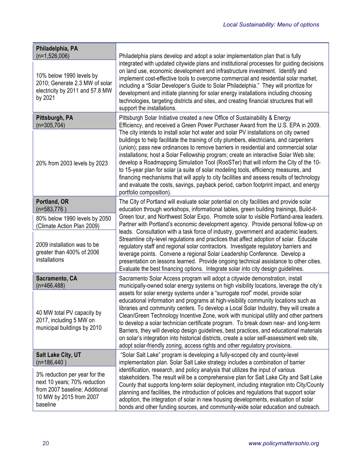| Philadelphia, PA                                                                                                                       |                                                                                                                                                                                                                                                                                                                                                                                                                                                                                                                                                                                                                                                                                                                                                                 |
|----------------------------------------------------------------------------------------------------------------------------------------|-----------------------------------------------------------------------------------------------------------------------------------------------------------------------------------------------------------------------------------------------------------------------------------------------------------------------------------------------------------------------------------------------------------------------------------------------------------------------------------------------------------------------------------------------------------------------------------------------------------------------------------------------------------------------------------------------------------------------------------------------------------------|
| $(n=1,526,006)$<br>10% below 1990 levels by<br>2010; Generate 2.3 MW of solar<br>electricity by 2011 and 57.8 MW<br>by 2021            | Philadelphia plans develop and adopt a solar implementation plan that is fully<br>integrated with updated citywide plans and institutional processes for guiding decisions<br>on land use, economic development and infrastructure investment. Identify and<br>implement cost-effective tools to overcome commercial and residential solar market,<br>including a "Solar Developer's Guide to Solar Philadelphia." They will prioritize for<br>development and initiate planning for solar energy installations including choosing<br>technologies, targeting districts and sites, and creating financial structures that will<br>support the installations.                                                                                                    |
| Pittsburgh, PA<br>$(n=305,704)$                                                                                                        | Pittsburgh Solar Initiative created a new Office of Sustainability & Energy<br>Efficiency, and received a Green Power Purchaser Award from the U.S. EPA in 2009.                                                                                                                                                                                                                                                                                                                                                                                                                                                                                                                                                                                                |
| 20% from 2003 levels by 2023                                                                                                           | The city intends to install solar hot water and solar PV installations on city owned<br>buildings to help facilitate the training of city plumbers, electricians, and carpenters<br>(union); pass new ordinances to remove barriers in residential and commercial solar<br>installations; host a Solar Fellowship program; create an interactive Solar Web site;<br>develop a Roadmapping Simulation Tool (RooSTer) that will inform the City of the 10-<br>to 15-year plan for solar (a suite of solar modeling tools, efficiency measures, and<br>financing mechanisms that will apply to city facilities and assess results of technology<br>and evaluate the costs, savings, payback period, carbon footprint impact, and energy<br>portfolio composition). |
| Portland, OR<br>$(n=583,776)$                                                                                                          | The City of Portland will evaluate solar potential on city facilities and provide solar<br>education through workshops, informational tables, green building trainings, Build-it-                                                                                                                                                                                                                                                                                                                                                                                                                                                                                                                                                                               |
| 80% below 1990 levels by 2050<br>(Climate Action Plan 2009)                                                                            | Green tour, and Northwest Solar Expo. Promote solar to visible Portland-area leaders.<br>Partner with Portland's economic development agency. Provide personal follow-up on<br>leads. Consultation with a task force of industry, government and academic leaders.                                                                                                                                                                                                                                                                                                                                                                                                                                                                                              |
| 2009 installation was to be<br>greater than 400% of 2006<br>installations                                                              | Streamline city-level regulations and practices that affect adoption of solar. Educate<br>regulatory staff and regional solar contractors. Investigate regulatory barriers and<br>leverage points. Convene a regional Solar Leadership Conference. Develop a<br>presentation on lessons learned. Provide ongoing technical assistance to other cities.<br>Evaluate the best financing options. Integrate solar into city design guidelines.                                                                                                                                                                                                                                                                                                                     |
| Sacramento, CA<br>$(n=466, 488)$                                                                                                       | Sacramento Solar Access program will adopt a citywide demonstration, install<br>municipally-owned solar energy systems on high visibility locations, leverage the city's                                                                                                                                                                                                                                                                                                                                                                                                                                                                                                                                                                                        |
| 40 MW total PV capacity by<br>2017, including 5 MW on<br>municipal buildings by 2010                                                   | assets for solar energy systems under a "surrogate roof" model, provide solar<br>educational information and programs at high-visibility community locations such as<br>libraries and community centers. To develop a Local Solar Industry, they will create a<br>Clean/Green Technology Incentive Zone, work with municipal utility and other partners<br>to develop a solar technician certificate program. To break down near- and long-term<br>Barriers, they will develop design guidelines, best practices, and educational materials<br>on solar's integration into historical districts, create a solar self-assessment web site,<br>adopt solar-friendly zoning, access rights and other regulatory provisions.                                        |
| <b>Salt Lake City, UT</b><br>$(n=186, 440)$                                                                                            | "Solar Salt Lake" program is developing a fully-scoped city and county-level<br>implementation plan. Solar Salt Lake strategy includes a combination of barrier                                                                                                                                                                                                                                                                                                                                                                                                                                                                                                                                                                                                 |
| 3% reduction per year for the<br>next 10 years; 70% reduction<br>from 2007 baseline; Additional<br>10 MW by 2015 from 2007<br>baseline | identification, research, and policy analysis that utilizes the input of various<br>stakeholders. The result will be a comprehensive plan for Salt Lake City and Salt Lake<br>County that supports long-term solar deployment, including integration into City/County<br>planning and facilities, the introduction of policies and regulations that support solar<br>adoption, the integration of solar in new housing developments, evaluation of solar<br>bonds and other funding sources, and community-wide solar education and outreach.                                                                                                                                                                                                                   |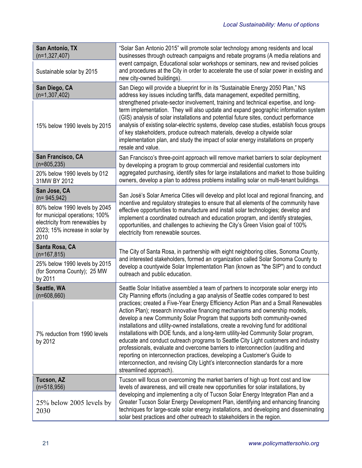| San Antonio, TX<br>$(n=1, 327, 407)$<br>Sustainable solar by 2015 | "Solar San Antonio 2015" will promote solar technology among residents and local<br>businesses through outreach campaigns and rebate programs (A media relations and<br>event campaign, Educational solar workshops or seminars, new and revised policies<br>and procedures at the City in order to accelerate the use of solar power in existing and<br>new city-owned buildings).                                                                                                                                                                                                                                                                                                                                                                                                             |  |
|-------------------------------------------------------------------|-------------------------------------------------------------------------------------------------------------------------------------------------------------------------------------------------------------------------------------------------------------------------------------------------------------------------------------------------------------------------------------------------------------------------------------------------------------------------------------------------------------------------------------------------------------------------------------------------------------------------------------------------------------------------------------------------------------------------------------------------------------------------------------------------|--|
| San Diego, CA                                                     | San Diego will provide a blueprint for in its "Sustainable Energy 2050 Plan," NS                                                                                                                                                                                                                                                                                                                                                                                                                                                                                                                                                                                                                                                                                                                |  |
| $(n=1, 307, 402)$                                                 | address key issues including tariffs, data management, expedited permitting,                                                                                                                                                                                                                                                                                                                                                                                                                                                                                                                                                                                                                                                                                                                    |  |
| 15% below 1990 levels by 2015                                     | strengthened private-sector involvement, training and technical expertise, and long-<br>term implementation. They will also update and expand geographic information system<br>(GIS) analysis of solar installations and potential future sites, conduct performance<br>analysis of existing solar-electric systems, develop case studies, establish focus groups<br>of key stakeholders, produce outreach materials, develop a citywide solar<br>implementation plan, and study the impact of solar energy installations on property<br>resale and value.                                                                                                                                                                                                                                      |  |
| San Francisco, CA                                                 | San Francisco's three-point approach will remove market barriers to solar deployment                                                                                                                                                                                                                                                                                                                                                                                                                                                                                                                                                                                                                                                                                                            |  |
| $(n=805, 235)$                                                    | by developing a program to group commercial and residential customers into                                                                                                                                                                                                                                                                                                                                                                                                                                                                                                                                                                                                                                                                                                                      |  |
| 20% below 1990 levels by 012                                      | aggregated purchasing, identify sites for large installations and market to those building                                                                                                                                                                                                                                                                                                                                                                                                                                                                                                                                                                                                                                                                                                      |  |
| 31MW BY 2012                                                      | owners, develop a plan to address problems installing solar on multi-tenant buildings.                                                                                                                                                                                                                                                                                                                                                                                                                                                                                                                                                                                                                                                                                                          |  |
| San Jose, CA<br>$(n=945,942)$                                     | San José's Solar America Cities will develop and pilot local and regional financing, and                                                                                                                                                                                                                                                                                                                                                                                                                                                                                                                                                                                                                                                                                                        |  |
| 80% below 1990 levels by 2045                                     | incentive and regulatory strategies to ensure that all elements of the community have                                                                                                                                                                                                                                                                                                                                                                                                                                                                                                                                                                                                                                                                                                           |  |
| for municipal operations; 100%                                    | effective opportunities to manufacture and install solar technologies; develop and                                                                                                                                                                                                                                                                                                                                                                                                                                                                                                                                                                                                                                                                                                              |  |
| electricity from renewables by                                    | implement a coordinated outreach and education program, and identify strategies,                                                                                                                                                                                                                                                                                                                                                                                                                                                                                                                                                                                                                                                                                                                |  |
| 2023; 15% increase in solar by                                    | opportunities, and challenges to achieving the City's Green Vision goal of 100%                                                                                                                                                                                                                                                                                                                                                                                                                                                                                                                                                                                                                                                                                                                 |  |
| 2010                                                              | electricity from renewable sources.                                                                                                                                                                                                                                                                                                                                                                                                                                                                                                                                                                                                                                                                                                                                                             |  |
| Santa Rosa, CA<br>$(n=167, 815)$                                  | The City of Santa Rosa, in partnership with eight neighboring cities, Sonoma County,                                                                                                                                                                                                                                                                                                                                                                                                                                                                                                                                                                                                                                                                                                            |  |
| 25% below 1990 levels by 2015                                     | and interested stakeholders, formed an organization called Solar Sonoma County to                                                                                                                                                                                                                                                                                                                                                                                                                                                                                                                                                                                                                                                                                                               |  |
| (for Sonoma County); 25 MW                                        | develop a countywide Solar Implementation Plan (known as "the SIP") and to conduct                                                                                                                                                                                                                                                                                                                                                                                                                                                                                                                                                                                                                                                                                                              |  |
| by 2011                                                           | outreach and public education.                                                                                                                                                                                                                                                                                                                                                                                                                                                                                                                                                                                                                                                                                                                                                                  |  |
| Seattle, WA                                                       | Seattle Solar Initiative assembled a team of partners to incorporate solar energy into                                                                                                                                                                                                                                                                                                                                                                                                                                                                                                                                                                                                                                                                                                          |  |
| $(n=608,660)$                                                     | City Planning efforts (including a gap analysis of Seattle codes compared to best                                                                                                                                                                                                                                                                                                                                                                                                                                                                                                                                                                                                                                                                                                               |  |
| 7% reduction from 1990 levels<br>by 2012                          | practices; created a Five-Year Energy Efficiency Action Plan and a Small Renewables<br>Action Plan); research innovative financing mechanisms and ownership models,<br>develop a new Community Solar Program that supports both community-owned<br>installations and utility-owned installations, create a revolving fund for additional<br>installations with DOE funds, and a long-term utility-led Community Solar program,<br>educate and conduct outreach programs to Seattle City Light customers and industry<br>professionals, evaluate and overcome barriers to interconnection (auditing and<br>reporting on interconnection practices, developing a Customer's Guide to<br>interconnection, and revising City Light's interconnection standards for a more<br>streamlined approach). |  |
| Tucson, AZ                                                        | Tucson will focus on overcoming the market barriers of high up front cost and low                                                                                                                                                                                                                                                                                                                                                                                                                                                                                                                                                                                                                                                                                                               |  |
| $(n=518,956)$                                                     | levels of awareness, and will create new opportunities for solar installations, by                                                                                                                                                                                                                                                                                                                                                                                                                                                                                                                                                                                                                                                                                                              |  |
| 25% below 2005 levels by<br>2030                                  | developing and implementing a city of Tucson Solar Energy Integration Plan and a<br>Greater Tucson Solar Energy Development Plan, identifying and enhancing financing<br>techniques for large-scale solar energy installations, and developing and disseminating<br>solar best practices and other outreach to stakeholders in the region.                                                                                                                                                                                                                                                                                                                                                                                                                                                      |  |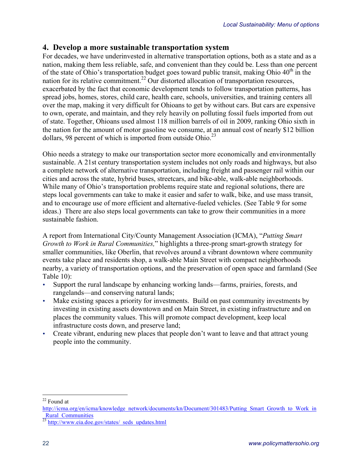### **4. Develop a more sustainable transportation system**

For decades, we have underinvested in alternative transportation options, both as a state and as a nation, making them less reliable, safe, and convenient than they could be. Less than one percent of the state of Ohio's transportation budget goes toward public transit, making Ohio  $40<sup>th</sup>$  in the nation for its relative commitment.<sup>22</sup> Our distorted allocation of transportation resources, exacerbated by the fact that economic development tends to follow transportation patterns, has spread jobs, homes, stores, child care, health care, schools, universities, and training centers all over the map, making it very difficult for Ohioans to get by without cars. But cars are expensive to own, operate, and maintain, and they rely heavily on polluting fossil fuels imported from out of state. Together, Ohioans used almost 118 million barrels of oil in 2009, ranking Ohio sixth in the nation for the amount of motor gasoline we consume, at an annual cost of nearly \$12 billion dollars, 98 percent of which is imported from outside Ohio.<sup>23</sup>

Ohio needs a strategy to make our transportation sector more economically and environmentally sustainable. A 21st century transportation system includes not only roads and highways, but also a complete network of alternative transportation, including freight and passenger rail within our cities and across the state, hybrid buses, streetcars, and bike-able, walk-able neighborhoods. While many of Ohio's transportation problems require state and regional solutions, there are steps local governments can take to make it easier and safer to walk, bike, and use mass transit, and to encourage use of more efficient and alternative-fueled vehicles. (See Table 9 for some ideas.) There are also steps local governments can take to grow their communities in a more sustainable fashion.

A report from International City/County Management Association (ICMA), "*Putting Smart Growth to Work in Rural Communities,*" highlights a three-prong smart-growth strategy for smaller communities, like Oberlin, that revolves around a vibrant downtown where community events take place and residents shop, a walk-able Main Street with compact neighborhoods nearby, a variety of transportation options, and the preservation of open space and farmland (See Table 10):

- Support the rural landscape by enhancing working lands—farms, prairies, forests, and rangelands—and conserving natural lands;
- Make existing spaces a priority for investments. Build on past community investments by investing in existing assets downtown and on Main Street, in existing infrastructure and on places the community values. This will promote compact development, keep local infrastructure costs down, and preserve land;
- Create vibrant, enduring new places that people don't want to leave and that attract young people into the community.

 <sup>22</sup> Found at

http://icma.org/en/icma/knowledge\_network/documents/kn/Document/301483/Putting\_Smart\_Growth\_to\_Work\_in Rural Communities

 $^{23}$  http://www.eia.doe.gov/states/\_seds\_updates.html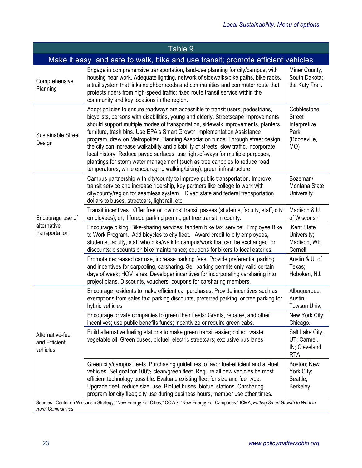| Table 9                                                                                                                                                            |                                                                                                                                                                                                                                                                                                                                                                                                                                                                                                                                                                                                                                                                                                                                                               |                                                                             |
|--------------------------------------------------------------------------------------------------------------------------------------------------------------------|---------------------------------------------------------------------------------------------------------------------------------------------------------------------------------------------------------------------------------------------------------------------------------------------------------------------------------------------------------------------------------------------------------------------------------------------------------------------------------------------------------------------------------------------------------------------------------------------------------------------------------------------------------------------------------------------------------------------------------------------------------------|-----------------------------------------------------------------------------|
|                                                                                                                                                                    | Make it easy and safe to walk, bike and use transit; promote efficient vehicles                                                                                                                                                                                                                                                                                                                                                                                                                                                                                                                                                                                                                                                                               |                                                                             |
| Comprehensive<br>Planning                                                                                                                                          | Engage in comprehensive transportation, land-use planning for city/campus, with<br>housing near work. Adequate lighting, network of sidewalks/bike paths, bike racks,<br>a trail system that links neighborhoods and communities and commuter route that<br>protects riders from high-speed traffic; fixed route transit service within the<br>community and key locations in the region.                                                                                                                                                                                                                                                                                                                                                                     | Miner County,<br>South Dakota;<br>the Katy Trail.                           |
| Sustainable Street<br>Design                                                                                                                                       | Adopt policies to ensure roadways are accessible to transit users, pedestrians,<br>bicyclists, persons with disabilities, young and elderly. Streetscape improvements<br>should support multiple modes of transportation, sidewalk improvements, planters,<br>furniture, trash bins. Use EPA's Smart Growth Implementation Assistance<br>program, draw on Metropolitan Planning Association funds. Through street design,<br>the city can increase walkability and bikability of streets, slow traffic, incorporate<br>local history. Reduce paved surfaces, use right-of-ways for multiple purposes,<br>plantings for storm water management (such as tree canopies to reduce road<br>temperatures, while encouraging walking/biking), green infrastructure. | Cobblestone<br><b>Street</b><br>Interpretive<br>Park<br>(Booneville,<br>MO) |
| Encourage use of<br>alternative<br>transportation                                                                                                                  | Campus partnership with city/county to improve public transportation. Improve<br>transit service and increase ridership, key partners like college to work with<br>city/county/region for seamless system. Divert state and federal transportation<br>dollars to buses, streetcars, light rail, etc.                                                                                                                                                                                                                                                                                                                                                                                                                                                          | Bozeman/<br>Montana State<br>University                                     |
|                                                                                                                                                                    | Transit incentives. Offer free or low cost transit passes (students, faculty, staff, city<br>employees); or, if forego parking permit, get free transit in county.                                                                                                                                                                                                                                                                                                                                                                                                                                                                                                                                                                                            | Madison & U.<br>of Wisconsin                                                |
|                                                                                                                                                                    | Encourage biking. Bike-sharing services; tandem bike taxi service; Employee Bike<br>to Work Program. Add bicycles to city fleet. Award credit to city employees,<br>students, faculty, staff who bike/walk to campus/work that can be exchanged for<br>discounts; discounts on bike maintenance; coupons for bikers to local eateries.                                                                                                                                                                                                                                                                                                                                                                                                                        | <b>Kent State</b><br>University;<br>Madison, WI;<br>Cornell                 |
|                                                                                                                                                                    | Promote decreased car use, increase parking fees. Provide preferential parking<br>and incentives for carpooling, carsharing. Sell parking permits only valid certain<br>days of week; HOV lanes. Developer incentives for incorporating carsharing into<br>project plans. Discounts, vouchers, coupons for carsharing members.                                                                                                                                                                                                                                                                                                                                                                                                                                | Austin & U. of<br>Texas;<br>Hoboken, NJ.                                    |
| Alternative-fuel<br>and Efficient<br>vehicles                                                                                                                      | Encourage residents to make efficient car purchases. Provide incentives such as<br>exemptions from sales tax; parking discounts, preferred parking, or free parking for<br>hybrid vehicles                                                                                                                                                                                                                                                                                                                                                                                                                                                                                                                                                                    | Albuquerque;<br>Austin;<br>Towson Univ.                                     |
|                                                                                                                                                                    | Encourage private companies to green their fleets: Grants, rebates, and other<br>incentives; use public benefits funds; incentivize or require green cabs.                                                                                                                                                                                                                                                                                                                                                                                                                                                                                                                                                                                                    | New York City;<br>Chicago.                                                  |
|                                                                                                                                                                    | Build alternative fueling stations to make green transit easier; collect waste<br>vegetable oil. Green buses, biofuel, electric streetcars; exclusive bus lanes.                                                                                                                                                                                                                                                                                                                                                                                                                                                                                                                                                                                              | Salt Lake City,<br>UT; Carmel,<br>IN; Cleveland<br><b>RTA</b>               |
|                                                                                                                                                                    | Green city/campus fleets. Purchasing guidelines to favor fuel-efficient and alt-fuel<br>vehicles. Set goal for 100% clean/green fleet. Require all new vehicles be most<br>efficient technology possible. Evaluate existing fleet for size and fuel type.<br>Upgrade fleet, reduce size, use. Biofuel buses, biofuel stations. Carsharing<br>program for city fleet; city use during business hours, member use other times.                                                                                                                                                                                                                                                                                                                                  | Boston; New<br>York City;<br>Seattle;<br>Berkeley                           |
| Sources: Center on Wisconsin Strategy, "New Energy For Cities;" COWS, "New Energy For Campuses;" ICMA, Putting Smart Growth to Work in<br><b>Rural Communities</b> |                                                                                                                                                                                                                                                                                                                                                                                                                                                                                                                                                                                                                                                                                                                                                               |                                                                             |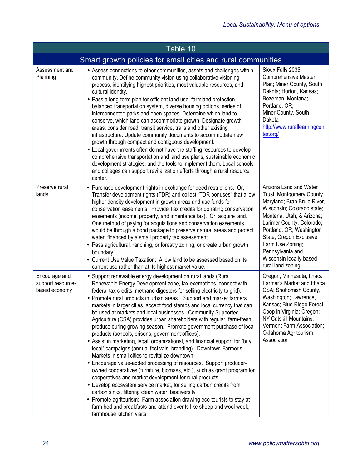| Table 10                                                     |                                                                                                                                                                                                                                                                                                                                                                                                                                                                                                                                                                                                                                                                                                                                                                                                                                                                                                                                                                                                                                                                                                                                                                                                                                                                                                                                                                   |                                                                                                                                                                                                                                                                                                                            |
|--------------------------------------------------------------|-------------------------------------------------------------------------------------------------------------------------------------------------------------------------------------------------------------------------------------------------------------------------------------------------------------------------------------------------------------------------------------------------------------------------------------------------------------------------------------------------------------------------------------------------------------------------------------------------------------------------------------------------------------------------------------------------------------------------------------------------------------------------------------------------------------------------------------------------------------------------------------------------------------------------------------------------------------------------------------------------------------------------------------------------------------------------------------------------------------------------------------------------------------------------------------------------------------------------------------------------------------------------------------------------------------------------------------------------------------------|----------------------------------------------------------------------------------------------------------------------------------------------------------------------------------------------------------------------------------------------------------------------------------------------------------------------------|
| Smart growth policies for small cities and rural communities |                                                                                                                                                                                                                                                                                                                                                                                                                                                                                                                                                                                                                                                                                                                                                                                                                                                                                                                                                                                                                                                                                                                                                                                                                                                                                                                                                                   |                                                                                                                                                                                                                                                                                                                            |
| Assessment and<br>Planning                                   | • Assess connections to other communities, assets and challenges within<br>community. Define community vision using collaborative visioning<br>process, identifying highest priorities, most valuable resources, and<br>cultural identity.<br>• Pass a long-term plan for efficient land use, farmland protection,<br>balanced transportation system, diverse housing options, series of<br>interconnected parks and open spaces. Determine which land to<br>conserve, which land can accommodate growth. Designate growth<br>areas, consider road, transit service, trails and other existing<br>infrastructure. Update community documents to accommodate new<br>growth through compact and contiguous development.<br>• Local governments often do not have the staffing resources to develop<br>comprehensive transportation and land use plans, sustainable economic<br>development strategies, and the tools to implement them. Local schools<br>and colleges can support revitalization efforts through a rural resource<br>center.                                                                                                                                                                                                                                                                                                                        | Sioux Falls 2035<br><b>Comprehensive Master</b><br>Plan; Miner County, South<br>Dakota; Horton, Kansas;<br>Bozeman, Montana;<br>Portland, OR;<br>Miner County, South<br>Dakota<br>http://www.rurallearningcen<br>ter.org/                                                                                                  |
| Preserve rural<br>lands                                      | • Purchase development rights in exchange for deed restrictions. Or,<br>Transfer development rights (TDR) and collect "TDR bonuses" that allow<br>higher density development in growth areas and use funds for<br>conservation easements. Provide Tax credits for donating conservation<br>easements (income, property, and inheritance tax). Or, acquire land.<br>One method of paying for acquisitions and conservation easements<br>would be through a bond package to preserve natural areas and protect<br>water, financed by a small property tax assessment.<br>• Pass agricultural, ranching, or forestry zoning, or create urban growth<br>boundary.<br>• Current Use Value Taxation: Allow land to be assessed based on its<br>current use rather than at its highest market value.                                                                                                                                                                                                                                                                                                                                                                                                                                                                                                                                                                     | Arizona Land and Water<br>Trust; Montgomery County,<br>Maryland; Brah Brule River,<br>Wisconsin; Colorado state;<br>Montana, Utah, & Arizona;<br>Larimer County, Colorado;<br>Portland, OR; Washington<br>State; Oregon Exclusive<br>Farm Use Zoning;<br>Pennsylvania and<br>Wisconsin locally-based<br>rural land zoning; |
| Encourage and<br>support resource-<br>based economy          | • Support renewable energy development on rural lands (Rural<br>Renewable Energy Development zone, tax exemptions, connect with<br>federal tax credits, methane digesters for selling electricity to grid).<br>• Promote rural products in urban areas. Support and market farmers<br>markets in larger cities, accept food stamps and local currency that can<br>be used at markets and local businesses. Community Supported<br>Agriculture (CSA) provides urban shareholders with regular, farm-fresh<br>produce during growing season. Promote government purchase of local<br>products (schools, prisons, government offices).<br>• Assist in marketing, legal, organizational, and financial support for "buy<br>local" campaigns (annual festivals, branding). Downtown Farmer's<br>Markets in small cities to revitalize downtown<br>• Encourage value-added processing of resources. Support producer-<br>owned cooperatives (furniture, biomass, etc.), such as grant program for<br>cooperatives and market development for rural products.<br>• Develop ecosystem service market, for selling carbon credits from<br>carbon sinks, filtering clean water, biodiversity<br>• Promote agritourism: Farm association drawing eco-tourists to stay at<br>farm bed and breakfasts and attend events like sheep and wool week,<br>farmhouse kitchen visits. | Oregon; Minnesota; Ithaca<br>Farmer's Market and Ithaca<br>CSA; Snohomish County,<br>Washington; Lawrence,<br>Kansas; Blue Ridge Forest<br>Coop in Virginia; Oregon;<br>NY Catskill Mountains;<br>Vermont Farm Association;<br>Oklahoma Agritourism<br>Association                                                         |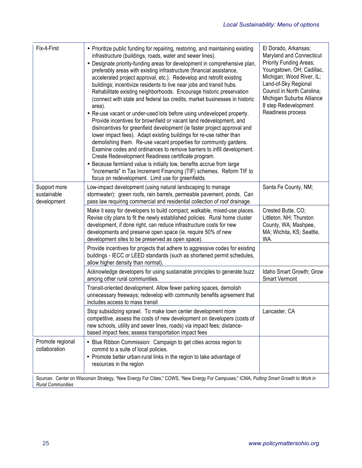| Fix-it-First                                                                                                                                                       | • Prioritize public funding for repairing, restoring, and maintaining existing<br>infrastructure (buildings, roads, water and sewer lines).<br>• Designate priority-funding areas for development in comprehensive plan,<br>preferably areas with existing infrastructure (financial assistance,<br>accelerated project approval, etc.). Redevelop and retrofit existing<br>buildings; incentivize residents to live near jobs and transit hubs.<br>Rehabilitate existing neighborhoods. Encourage historic preservation<br>(connect with state and federal tax credits, market businesses in historic<br>area).<br>• Re-use vacant or under-used lots before using undeveloped property.<br>Provide incentives for brownfield or vacant land redevelopment, and<br>disincentives for greenfield development (ie faster project approval and<br>lower impact fees). Adapt existing buildings for re-use rather than<br>demolishing them. Re-use vacant properties for community gardens.<br>Examine codes and ordinances to remove barriers to infill development.<br>Create Redevelopment Readiness certificate program.<br>• Because farmland value is initially low, benefits accrue from large<br>"increments" in Tax Increment Financing (TIF) schemes. Reform TIF to<br>focus on redevelopment. Limit use for greenfields. | El Dorado, Arkansas;<br>Maryland and Connecticut<br><b>Priority Funding Areas:</b><br>Youngstown, OH; Cadillac,<br>Michigan; Wood River, IL;<br>Land-of-Sky Regional<br>Council in North Carolina;<br>Michigan Suburbs Alliance<br>8 step Redevelopment<br>Readiness process |
|--------------------------------------------------------------------------------------------------------------------------------------------------------------------|----------------------------------------------------------------------------------------------------------------------------------------------------------------------------------------------------------------------------------------------------------------------------------------------------------------------------------------------------------------------------------------------------------------------------------------------------------------------------------------------------------------------------------------------------------------------------------------------------------------------------------------------------------------------------------------------------------------------------------------------------------------------------------------------------------------------------------------------------------------------------------------------------------------------------------------------------------------------------------------------------------------------------------------------------------------------------------------------------------------------------------------------------------------------------------------------------------------------------------------------------------------------------------------------------------------------------------|------------------------------------------------------------------------------------------------------------------------------------------------------------------------------------------------------------------------------------------------------------------------------|
| Support more<br>sustainable<br>development                                                                                                                         | Low-impact development (using natural landscaping to manage<br>stormwater): green roofs, rain barrels, permeable pavement, ponds. Can<br>pass law requiring commercial and residential collection of roof drainage.                                                                                                                                                                                                                                                                                                                                                                                                                                                                                                                                                                                                                                                                                                                                                                                                                                                                                                                                                                                                                                                                                                              | Santa Fe County, NM;                                                                                                                                                                                                                                                         |
|                                                                                                                                                                    | Make it easy for developers to build compact, walkable, mixed-use places.<br>Revise city plans to fit the newly established policies. Rural home cluster<br>development, if done right, can reduce infrastructure costs for new<br>developments and preserve open space (ie. require 50% of new<br>development sites to be preserved as open space).                                                                                                                                                                                                                                                                                                                                                                                                                                                                                                                                                                                                                                                                                                                                                                                                                                                                                                                                                                             | Crested Butte, CO;<br>Littleton, NH; Thurston<br>County, WA; Mashpee,<br>MA; Wichita, KS; Seattle,<br>WA.                                                                                                                                                                    |
|                                                                                                                                                                    | Provide incentives for projects that adhere to aggressive codes for existing<br>buildings - IECC or LEED standards (such as shortened permit schedules,<br>allow higher density than normal).                                                                                                                                                                                                                                                                                                                                                                                                                                                                                                                                                                                                                                                                                                                                                                                                                                                                                                                                                                                                                                                                                                                                    |                                                                                                                                                                                                                                                                              |
|                                                                                                                                                                    | Acknowledge developers for using sustainable principles to generate buzz<br>among other rural communities.                                                                                                                                                                                                                                                                                                                                                                                                                                                                                                                                                                                                                                                                                                                                                                                                                                                                                                                                                                                                                                                                                                                                                                                                                       | Idaho Smart Growth; Grow<br><b>Smart Vermont</b>                                                                                                                                                                                                                             |
|                                                                                                                                                                    | Transit-oriented development. Allow fewer parking spaces, demolish<br>unnecessary freeways; redevelop with community benefits agreement that<br>includes access to mass transit                                                                                                                                                                                                                                                                                                                                                                                                                                                                                                                                                                                                                                                                                                                                                                                                                                                                                                                                                                                                                                                                                                                                                  |                                                                                                                                                                                                                                                                              |
|                                                                                                                                                                    | Stop subsidizing sprawl. To make town center development more<br>competitive, assess the costs of new development on developers (costs of<br>new schools, utility and sewer lines, roads) via impact fees; distance-<br>based impact fees; assess transportation impact fees                                                                                                                                                                                                                                                                                                                                                                                                                                                                                                                                                                                                                                                                                                                                                                                                                                                                                                                                                                                                                                                     | Lancaster, CA                                                                                                                                                                                                                                                                |
| Promote regional<br>collaboration                                                                                                                                  | • Blue Ribbon Commission: Campaign to get cities across region to<br>commit to a suite of local policies.<br>• Promote better urban-rural links in the region to take advantage of<br>resources in the region                                                                                                                                                                                                                                                                                                                                                                                                                                                                                                                                                                                                                                                                                                                                                                                                                                                                                                                                                                                                                                                                                                                    |                                                                                                                                                                                                                                                                              |
| Sources: Center on Wisconsin Strategy, "New Energy For Cities;" COWS, "New Energy For Campuses;" ICMA, Putting Smart Growth to Work in<br><b>Rural Communities</b> |                                                                                                                                                                                                                                                                                                                                                                                                                                                                                                                                                                                                                                                                                                                                                                                                                                                                                                                                                                                                                                                                                                                                                                                                                                                                                                                                  |                                                                                                                                                                                                                                                                              |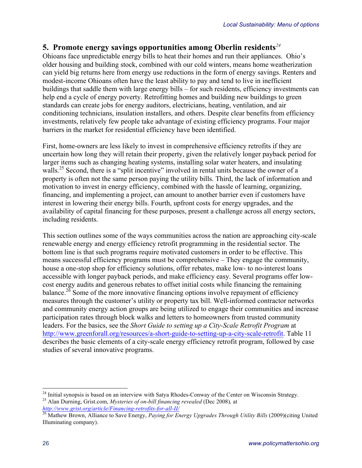### **5. Promote energy savings opportunities among Oberlin residents***<sup>24</sup>*

Ohioans face unpredictable energy bills to heat their homes and run their appliances. Ohio's older housing and building stock, combined with our cold winters, means home weatherization can yield big returns here from energy use reductions in the form of energy savings. Renters and modest-income Ohioans often have the least ability to pay and tend to live in inefficient buildings that saddle them with large energy bills – for such residents, efficiency investments can help end a cycle of energy poverty. Retrofitting homes and building new buildings to green standards can create jobs for energy auditors, electricians, heating, ventilation, and air conditioning technicians, insulation installers, and others. Despite clear benefits from efficiency investments, relatively few people take advantage of existing efficiency programs. Four major barriers in the market for residential efficiency have been identified.

First, home-owners are less likely to invest in comprehensive efficiency retrofits if they are uncertain how long they will retain their property, given the relatively longer payback period for larger items such as changing heating systems, installing solar water heaters, and insulating walls.<sup>25</sup> Second, there is a "split incentive" involved in rental units because the owner of a property is often not the same person paying the utility bills. Third, the lack of information and motivation to invest in energy efficiency, combined with the hassle of learning, organizing, financing, and implementing a project, can amount to another barrier even if customers have interest in lowering their energy bills. Fourth, upfront costs for energy upgrades, and the availability of capital financing for these purposes, present a challenge across all energy sectors, including residents.

This section outlines some of the ways communities across the nation are approaching city-scale renewable energy and energy efficiency retrofit programming in the residential sector. The bottom line is that such programs require motivated customers in order to be effective. This means successful efficiency programs must be comprehensive – They engage the community, house a one-stop shop for efficiency solutions, offer rebates, make low- to no-interest loans accessible with longer payback periods, and make efficiency easy. Several programs offer lowcost energy audits and generous rebates to offset initial costs while financing the remaining balance.<sup>26</sup> Some of the more innovative financing options involve repayment of efficiency measures through the customer's utility or property tax bill. Well-informed contractor networks and community energy action groups are being utilized to engage their communities and increase participation rates through block walks and letters to homeowners from trusted community leaders. For the basics, see the *Short Guide to setting up a City-Scale Retrofit Program* at http://www.greenforall.org/resources/a-short-guide-to-setting-up-a-city-scale-retrofit. Table 11 describes the basic elements of a city-scale energy efficiency retrofit program, followed by case studies of several innovative programs.

<sup>&</sup>lt;sup>24</sup> Initial synopsis is based on an interview with Satya Rhodes-Conway of the Center on Wisconsin Strategy.<br><sup>25</sup> Alan Durning, Grist.com, *Mysteries of on-bill financing revealed* (Dec 2008), at

*http://www.grist.org/article/Financing-retrofits-for-all-II/* <sup>26</sup> Mathew Brown, Alliance to Save Energy, *Paying for Energy Upgrades Through Utility Bills* (2009)(citing United Illuminating company).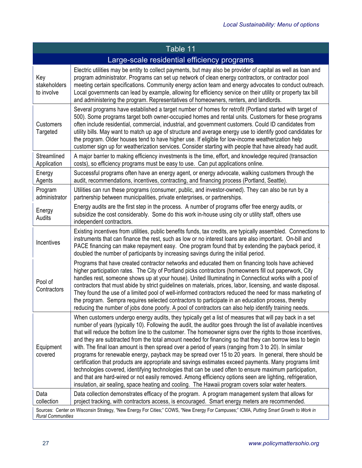| Table 11                                                                                                                                                           |                                                                                                                                                                                                                                                                                                                                                                                                                                                                                                                                                                                                                                                                                                                                                                                                                                                                                                                                                                                                                                                                                                             |  |
|--------------------------------------------------------------------------------------------------------------------------------------------------------------------|-------------------------------------------------------------------------------------------------------------------------------------------------------------------------------------------------------------------------------------------------------------------------------------------------------------------------------------------------------------------------------------------------------------------------------------------------------------------------------------------------------------------------------------------------------------------------------------------------------------------------------------------------------------------------------------------------------------------------------------------------------------------------------------------------------------------------------------------------------------------------------------------------------------------------------------------------------------------------------------------------------------------------------------------------------------------------------------------------------------|--|
| Large-scale residential efficiency programs                                                                                                                        |                                                                                                                                                                                                                                                                                                                                                                                                                                                                                                                                                                                                                                                                                                                                                                                                                                                                                                                                                                                                                                                                                                             |  |
| Key<br>stakeholders<br>to involve                                                                                                                                  | Electric utilities may be entity to collect payments, but may also be provider of capital as well as loan and<br>program administrator. Programs can set up network of clean energy contractors, or contractor pool<br>meeting certain specifications. Community energy action team and energy advocates to conduct outreach.<br>Local governments can lead by example, allowing for efficiency service on their utility or property tax bill<br>and administering the program. Representatives of homeowners, renters, and landlords.                                                                                                                                                                                                                                                                                                                                                                                                                                                                                                                                                                      |  |
| <b>Customers</b><br>Targeted                                                                                                                                       | Several programs have established a target number of homes for retrofit (Portland started with target of<br>500). Some programs target both owner-occupied homes and rental units. Customers for these programs<br>often include residential, commercial, industrial, and government customers. Could ID candidates from<br>utility bills. May want to match up age of structure and average energy use to identify good candidates for<br>the program. Older houses tend to have higher use. If eligible for low-income weatherization help<br>customer sign up for weatherization services. Consider starting with people that have already had audit.                                                                                                                                                                                                                                                                                                                                                                                                                                                    |  |
| Streamlined<br>Application                                                                                                                                         | A major barrier to making efficiency investments is the time, effort, and knowledge required (transaction<br>costs), so efficiency programs must be easy to use. Can put applications online.                                                                                                                                                                                                                                                                                                                                                                                                                                                                                                                                                                                                                                                                                                                                                                                                                                                                                                               |  |
| Energy<br>Agents                                                                                                                                                   | Successful programs often have an energy agent, or energy advocate, walking customers through the<br>audit, recommendations, incentives, contracting, and financing process (Portland, Seattle).                                                                                                                                                                                                                                                                                                                                                                                                                                                                                                                                                                                                                                                                                                                                                                                                                                                                                                            |  |
| Program<br>administrator                                                                                                                                           | Utilities can run these programs (consumer, public, and investor-owned). They can also be run by a<br>partnership between municipalities, private enterprises, or partnerships.                                                                                                                                                                                                                                                                                                                                                                                                                                                                                                                                                                                                                                                                                                                                                                                                                                                                                                                             |  |
| Energy<br>Audits                                                                                                                                                   | Energy audits are the first step in the process. A number of programs offer free energy audits, or<br>subsidize the cost considerably. Some do this work in-house using city or utility staff, others use<br>independent contractors.                                                                                                                                                                                                                                                                                                                                                                                                                                                                                                                                                                                                                                                                                                                                                                                                                                                                       |  |
| Incentives                                                                                                                                                         | Existing incentives from utilities, public benefits funds, tax credits, are typically assembled. Connections to<br>instruments that can finance the rest, such as low or no interest loans are also important. On-bill and<br>PACE financing can make repayment easy. One program found that by extending the payback period, it<br>doubled the number of participants by increasing savings during the initial period.                                                                                                                                                                                                                                                                                                                                                                                                                                                                                                                                                                                                                                                                                     |  |
| Pool of<br>Contractors                                                                                                                                             | Programs that have created contractor networks and educated them on financing tools have achieved<br>higher participation rates. The City of Portland picks contractors (homeowners fill out paperwork, City<br>handles rest, someone shows up at your house). United Illuminating in Connecticut works with a pool of<br>contractors that must abide by strict guidelines on materials, prices, labor, licensing, and waste disposal.<br>They found the use of a limited pool of well-informed contractors reduced the need for mass marketing of<br>the program. Sempra requires selected contractors to participate in an education process, thereby<br>reducing the number of jobs done poorly. A pool of contractors can also help identify training needs.                                                                                                                                                                                                                                                                                                                                            |  |
| Equipment<br>covered                                                                                                                                               | When customers undergo energy audits, they typically get a list of measures that will pay back in a set<br>number of years (typically 10). Following the audit, the auditor goes through the list of available incentives<br>that will reduce the bottom line to the customer. The homeowner signs over the rights to those incentives,<br>and they are subtracted from the total amount needed for financing so that they can borrow less to begin<br>with. The final loan amount is then spread over a period of years (ranging from 3 to 20). In similar<br>programs for renewable energy, payback may be spread over 15 to 20 years. In general, there should be<br>certification that products are appropriate and savings estimates exceed payments. Many programs limit<br>technologies covered, identifying technologies that can be used often to ensure maximum participation,<br>and that are hard-wired or not easily removed. Among efficiency options seen are lighting, refrigeration,<br>insulation, air sealing, space heating and cooling. The Hawaii program covers solar water heaters. |  |
| Data<br>collection                                                                                                                                                 | Data collection demonstrates efficacy of the program. A program management system that allows for<br>project tracking, with contractors access, is encouraged. Smart energy meters are recommended.                                                                                                                                                                                                                                                                                                                                                                                                                                                                                                                                                                                                                                                                                                                                                                                                                                                                                                         |  |
| Sources: Center on Wisconsin Strategy, "New Energy For Cities;" COWS, "New Energy For Campuses;" ICMA, Putting Smart Growth to Work in<br><b>Rural Communities</b> |                                                                                                                                                                                                                                                                                                                                                                                                                                                                                                                                                                                                                                                                                                                                                                                                                                                                                                                                                                                                                                                                                                             |  |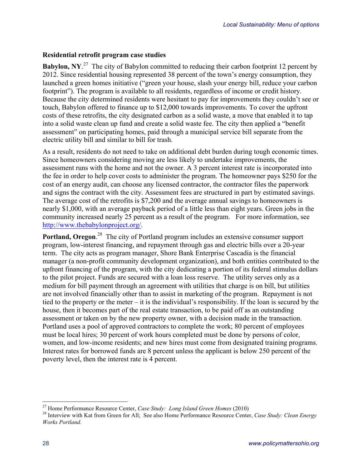#### **Residential retrofit program case studies**

**Babylon, NY.**<sup>27</sup> The city of Babylon committed to reducing their carbon footprint 12 percent by 2012. Since residential housing represented 38 percent of the town's energy consumption, they launched a green homes initiative ("green your house, slash your energy bill, reduce your carbon footprint"). The program is available to all residents, regardless of income or credit history. Because the city determined residents were hesitant to pay for improvements they couldn't see or touch, Babylon offered to finance up to \$12,000 towards improvements. To cover the upfront costs of these retrofits, the city designated carbon as a solid waste, a move that enabled it to tap into a solid waste clean up fund and create a solid waste fee. The city then applied a "benefit assessment" on participating homes, paid through a municipal service bill separate from the electric utility bill and similar to bill for trash.

As a result, residents do not need to take on additional debt burden during tough economic times. Since homeowners considering moving are less likely to undertake improvements, the assessment runs with the home and not the owner. A 3 percent interest rate is incorporated into the fee in order to help cover costs to administer the program. The homeowner pays \$250 for the cost of an energy audit, can choose any licensed contractor, the contractor files the paperwork and signs the contract with the city. Assessment fees are structured in part by estimated savings. The average cost of the retrofits is \$7,200 and the average annual savings to homeowners is nearly \$1,000, with an average payback period of a little less than eight years. Green jobs in the community increased nearly 25 percent as a result of the program. For more information, see http://www.thebabylonproject.org/.

**Portland, Oregon.**<sup>28</sup> The city of Portland program includes an extensive consumer support program, low-interest financing, and repayment through gas and electric bills over a 20-year term. The city acts as program manager, Shore Bank Enterprise Cascadia is the financial manager (a non-profit community development organization), and both entities contributed to the upfront financing of the program, with the city dedicating a portion of its federal stimulus dollars to the pilot project. Funds are secured with a loan loss reserve. The utility serves only as a medium for bill payment through an agreement with utilities that charge is on bill, but utilities are not involved financially other than to assist in marketing of the program. Repayment is not tied to the property or the meter – it is the individual's responsibility. If the loan is secured by the house, then it becomes part of the real estate transaction, to be paid off as an outstanding assessment or taken on by the new property owner, with a decision made in the transaction. Portland uses a pool of approved contractors to complete the work; 80 percent of employees must be local hires; 30 percent of work hours completed must be done by persons of color, women, and low-income residents; and new hires must come from designated training programs. Interest rates for borrowed funds are 8 percent unless the applicant is below 250 percent of the poverty level, then the interest rate is 4 percent.

<sup>&</sup>lt;sup>27</sup> Home Performance Resource Center, *Case Study: Long Island Green Homes* (2010)<br><sup>28</sup> Interview with Kat from Green for All; See also Home Performance Resource Center, *Case Study: Clean Energy Works Portland.*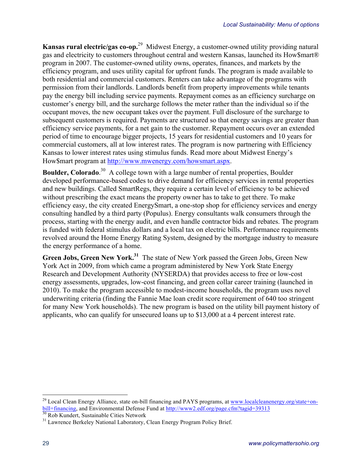**Kansas rural electric/gas co-op.**29 Midwest Energy, a customer-owned utility providing natural gas and electricity to customers throughout central and western Kansas, launched its How\$mart® program in 2007. The customer-owned utility owns, operates, finances, and markets by the efficiency program, and uses utility capital for upfront funds. The program is made available to both residential and commercial customers. Renters can take advantage of the programs with permission from their landlords. Landlords benefit from property improvements while tenants pay the energy bill including service payments. Repayment comes as an efficiency surcharge on customer's energy bill, and the surcharge follows the meter rather than the individual so if the occupant moves, the new occupant takes over the payment. Full disclosure of the surcharge to subsequent customers is required. Payments are structured so that energy savings are greater than efficiency service payments, for a net gain to the customer. Repayment occurs over an extended period of time to encourage bigger projects, 15 years for residential customers and 10 years for commercial customers, all at low interest rates. The program is now partnering with Efficiency Kansas to lower interest rates using stimulus funds. Read more about Midwest Energy's How\$mart program at http://www.mwenergy.com/howsmart.aspx.

**Boulder, Colorado**.<sup>30</sup> A college town with a large number of rental properties, Boulder developed performance-based codes to drive demand for efficiency services in rental properties and new buildings. Called SmartRegs, they require a certain level of efficiency to be achieved without prescribing the exact means the property owner has to take to get there. To make efficiency easy, the city created EnergySmart, a one-stop shop for efficiency services and energy consulting handled by a third party (Populus). Energy consultants walk consumers through the process, starting with the energy audit, and even handle contractor bids and rebates. The program is funded with federal stimulus dollars and a local tax on electric bills. Performance requirements revolved around the Home Energy Rating System, designed by the mortgage industry to measure the energy performance of a home.

**Green Jobs, Green New York.31** The state of New York passed the Green Jobs, Green New York Act in 2009, from which came a program administered by New York State Energy Research and Development Authority (NYSERDA) that provides access to free or low-cost energy assessments, upgrades, low-cost financing, and green collar career training (launched in 2010). To make the program accessible to modest-income households, the program uses novel underwriting criteria (finding the Fannie Mae loan credit score requirement of 640 too stringent for many New York households). The new program is based on the utility bill payment history of applicants, who can qualify for unsecured loans up to \$13,000 at a 4 percent interest rate.

<sup>&</sup>lt;sup>29</sup> Local Clean Energy Alliance, state on-bill financing and PAYS programs, at www.localcleanenergy.org/state+onbill+financing, and Environmental Defense Fund at http://www2.edf.org/page.cfm?tagid=39313<br><sup>30</sup> Rob Kundert, Sustainable Cities Network<br><sup>31</sup> Lawrence Berkeley National Laboratory, Clean Energy Program Policy Brief.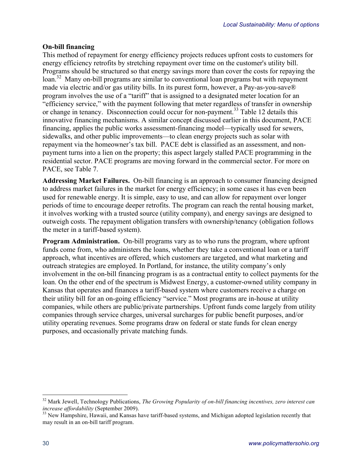#### **On-bill financing**

This method of repayment for energy efficiency projects reduces upfront costs to customers for energy efficiency retrofits by stretching repayment over time on the customer's utility bill. Programs should be structured so that energy savings more than cover the costs for repaying the loan.<sup>32</sup>Many on-bill programs are similar to conventional loan programs but with repayment made via electric and/or gas utility bills. In its purest form, however, a Pay-as-you-save® program involves the use of a "tariff" that is assigned to a designated meter location for an "efficiency service," with the payment following that meter regardless of transfer in ownership or change in tenancy. Disconnection could occur for non-payment.<sup>33</sup> Table 12 details this innovative financing mechanisms. A similar concept discussed earlier in this document, PACE financing, applies the public works assessment-financing model—typically used for sewers, sidewalks, and other public improvements—to clean energy projects such as solar with repayment via the homeowner's tax bill. PACE debt is classified as an assessment, and nonpayment turns into a lien on the property; this aspect largely stalled PACE programming in the residential sector. PACE programs are moving forward in the commercial sector. For more on PACE, see Table 7.

**Addressing Market Failures.**On-bill financing is an approach to consumer financing designed to address market failures in the market for energy efficiency; in some cases it has even been used for renewable energy. It is simple, easy to use, and can allow for repayment over longer periods of time to encourage deeper retrofits. The program can reach the rental housing market, it involves working with a trusted source (utility company), and energy savings are designed to outweigh costs. The repayment obligation transfers with ownership/tenancy (obligation follows the meter in a tariff-based system).

**Program Administration.**On-bill programs vary as to who runs the program, where upfront funds come from, who administers the loans, whether they take a conventional loan or a tariff approach, what incentives are offered, which customers are targeted, and what marketing and outreach strategies are employed. In Portland, for instance, the utility company's only involvement in the on-bill financing program is as a contractual entity to collect payments for the loan. On the other end of the spectrum is Midwest Energy, a customer-owned utility company in Kansas that operates and finances a tariff-based system where customers receive a charge on their utility bill for an on-going efficiency "service." Most programs are in-house at utility companies, while others are public/private partnerships. Upfront funds come largely from utility companies through service charges, universal surcharges for public benefit purposes, and/or utility operating revenues. Some programs draw on federal or state funds for clean energy purposes, and occasionally private matching funds.

 <sup>32</sup> Mark Jewell, Technology Publications, *The Growing Popularity of on-bill financing incentives, zero interest can increase affordability* (September 2009).<br><sup>33</sup> New Hampshire, Hawaii, and Kansas have tariff-based systems, and Michigan adopted legislation recently that

may result in an on-bill tariff program.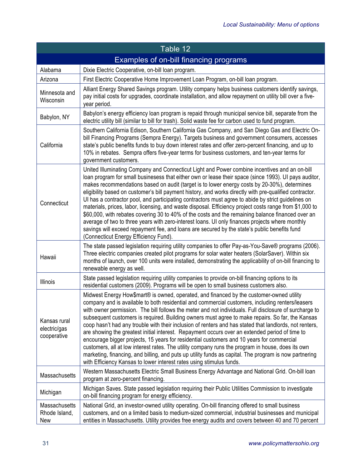| Table 12                                    |                                                                                                                                                                                                                                                                                                                                                                                                                                                                                                                                                                                                                                                                                                                                                                                                                                                                                                                                                                                                             |  |
|---------------------------------------------|-------------------------------------------------------------------------------------------------------------------------------------------------------------------------------------------------------------------------------------------------------------------------------------------------------------------------------------------------------------------------------------------------------------------------------------------------------------------------------------------------------------------------------------------------------------------------------------------------------------------------------------------------------------------------------------------------------------------------------------------------------------------------------------------------------------------------------------------------------------------------------------------------------------------------------------------------------------------------------------------------------------|--|
| Examples of on-bill financing programs      |                                                                                                                                                                                                                                                                                                                                                                                                                                                                                                                                                                                                                                                                                                                                                                                                                                                                                                                                                                                                             |  |
| Alabama                                     | Dixie Electric Cooperative, on-bill loan program.                                                                                                                                                                                                                                                                                                                                                                                                                                                                                                                                                                                                                                                                                                                                                                                                                                                                                                                                                           |  |
| Arizona                                     | First Electric Cooperative Home Improvement Loan Program, on-bill loan program.                                                                                                                                                                                                                                                                                                                                                                                                                                                                                                                                                                                                                                                                                                                                                                                                                                                                                                                             |  |
| Minnesota and<br>Wisconsin                  | Alliant Energy Shared Savings program. Utility company helps business customers identify savings,<br>pay initial costs for upgrades, coordinate installation, and allow repayment on utility bill over a five-<br>year period.                                                                                                                                                                                                                                                                                                                                                                                                                                                                                                                                                                                                                                                                                                                                                                              |  |
| Babylon, NY                                 | Babylon's energy efficiency loan program is repaid through municipal service bill, separate from the<br>electric utility bill (similar to bill for trash). Solid waste fee for carbon used to fund program.                                                                                                                                                                                                                                                                                                                                                                                                                                                                                                                                                                                                                                                                                                                                                                                                 |  |
| California                                  | Southern California Edison, Southern California Gas Company, and San Diego Gas and Electric On-<br>bill Financing Programs (Sempra Energy). Targets business and government consumers, accesses<br>state's public benefits funds to buy down interest rates and offer zero-percent financing, and up to<br>10% in rebates. Sempra offers five-year terms for business customers, and ten-year terms for<br>government customers.                                                                                                                                                                                                                                                                                                                                                                                                                                                                                                                                                                            |  |
| Connecticut                                 | United Illuminating Company and Connecticut Light and Power combine incentives and an on-bill<br>loan program for small businesess that either own or lease their space (since 1993). UI pays auditor,<br>makes recommendations based on audit (target is to lower energy costs by 20-30%), determines<br>eligibility based on customer's bill payment history, and works directly with pre-qualified contractor.<br>UI has a contractor pool, and participating contractors must agree to abide by strict guidelines on<br>materials, prices, labor, licensing, and waste disposal. Efficiency project costs range from \$1,000 to<br>\$60,000, with rebates covering 30 to 40% of the costs and the remaining balance financed over an<br>average of two to three years with zero-interest loans. UI only finances projects where monthly<br>savings will exceed repayment fee, and loans are secured by the state's public benefits fund<br>(Connecticut Energy Efficiency Fund).                        |  |
| Hawaii                                      | The state passed legislation requiring utility companies to offer Pay-as-You-Save® programs (2006).<br>Three electric companies created pilot programs for solar water heaters (SolarSaver). Within six<br>months of launch, over 100 units were installed, demonstrating the applicability of on-bill financing to<br>renewable energy as well.                                                                                                                                                                                                                                                                                                                                                                                                                                                                                                                                                                                                                                                            |  |
| Illinois                                    | State passed legislation requiring utility companies to provide on-bill financing options to its<br>residential customers (2009). Programs will be open to small business customers also.                                                                                                                                                                                                                                                                                                                                                                                                                                                                                                                                                                                                                                                                                                                                                                                                                   |  |
| Kansas rural<br>electric/gas<br>cooperative | Midwest Energy How\$mart® is owned, operated, and financed by the customer-owned utility<br>company and is available to both residential and commercial customers, including renters/leasers<br>with owner permission. The bill follows the meter and not individuals. Full disclosure of surcharge to<br>subsequent customers is required. Building owners must agree to make repairs. So far, the Kansas<br>coop hasn't had any trouble with their inclusion of renters and has stated that landlords, not renters,<br>are showing the greatest initial interest. Repayment occurs over an extended period of time to<br>encourage bigger projects, 15 years for residential customers and 10 years for commercial<br>customers, all at low interest rates. The utility company runs the program in house, does its own<br>marketing, financing, and billing, and puts up utility funds as capital. The program is now partnering<br>with Efficiency Kansas to lower interest rates using stimulus funds. |  |
| Massachusetts                               | Western Massachusetts Electric Small Business Energy Advantage and National Grid. On-bill loan<br>program at zero-percent financing.                                                                                                                                                                                                                                                                                                                                                                                                                                                                                                                                                                                                                                                                                                                                                                                                                                                                        |  |
| Michigan                                    | Michigan Saves. State passed legislation requiring their Public Utilities Commission to investigate<br>on-bill financing program for energy efficiency.                                                                                                                                                                                                                                                                                                                                                                                                                                                                                                                                                                                                                                                                                                                                                                                                                                                     |  |
| Massachusetts<br>Rhode Island,<br>New       | National Grid, an investor-owned utility operating. On-bill financing offered to small business<br>customers, and on a limited basis to medium-sized commercial, industrial businesses and municipal<br>entities in Massachusetts. Utility provides free energy audits and covers between 40 and 70 percent                                                                                                                                                                                                                                                                                                                                                                                                                                                                                                                                                                                                                                                                                                 |  |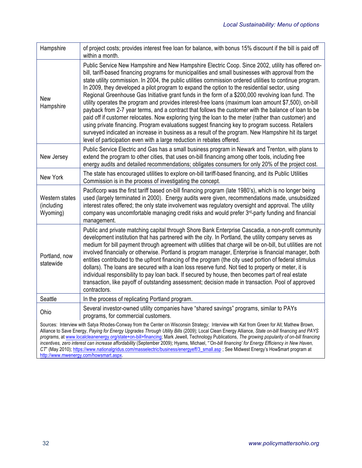| Hampshire                                                                                                                                                                                                                                                                                                                                                                                                                                                                                                                                                                                        | of project costs; provides interest free loan for balance, with bonus 15% discount if the bill is paid off<br>within a month.                                                                                                                                                                                                                                                                                                                                                                                                                                                                                                                                                                                                                                                                                                                                                                                                                                                                                                                                                                                                              |
|--------------------------------------------------------------------------------------------------------------------------------------------------------------------------------------------------------------------------------------------------------------------------------------------------------------------------------------------------------------------------------------------------------------------------------------------------------------------------------------------------------------------------------------------------------------------------------------------------|--------------------------------------------------------------------------------------------------------------------------------------------------------------------------------------------------------------------------------------------------------------------------------------------------------------------------------------------------------------------------------------------------------------------------------------------------------------------------------------------------------------------------------------------------------------------------------------------------------------------------------------------------------------------------------------------------------------------------------------------------------------------------------------------------------------------------------------------------------------------------------------------------------------------------------------------------------------------------------------------------------------------------------------------------------------------------------------------------------------------------------------------|
| New<br>Hampshire                                                                                                                                                                                                                                                                                                                                                                                                                                                                                                                                                                                 | Public Service New Hampshire and New Hampshire Electric Coop. Since 2002, utility has offered on-<br>bill, tariff-based financing programs for municipalities and small businesses with approval from the<br>state utility commission. In 2004, the public utilities commission ordered utilities to continue program.<br>In 2009, they developed a pilot program to expand the option to the residential sector, using<br>Regional Greenhouse Gas Initiative grant funds in the form of a \$200,000 revolving loan fund. The<br>utility operates the program and provides interest-free loans (maximum loan amount \$7,500), on-bill<br>payback from 2-7 year terms, and a contract that follows the customer with the balance of loan to be<br>paid off if customer relocates. Now exploring tying the loan to the meter (rather than customer) and<br>using private financing. Program evaluations suggest financing key to program success. Retailers<br>surveyed indicated an increase in business as a result of the program. New Hampshire hit its target<br>level of participation even with a large reduction in rebates offered. |
| New Jersey                                                                                                                                                                                                                                                                                                                                                                                                                                                                                                                                                                                       | Public Service Electric and Gas has a small business program in Newark and Trenton, with plans to<br>extend the program to other cities, that uses on-bill financing among other tools, including free<br>energy audits and detailed recommendations; obligates consumers for only 20% of the project cost.                                                                                                                                                                                                                                                                                                                                                                                                                                                                                                                                                                                                                                                                                                                                                                                                                                |
| New York                                                                                                                                                                                                                                                                                                                                                                                                                                                                                                                                                                                         | The state has encouraged utilities to explore on-bill tariff-based financing, and its Public Utilities<br>Commission is in the process of investigating the concept.                                                                                                                                                                                                                                                                                                                                                                                                                                                                                                                                                                                                                                                                                                                                                                                                                                                                                                                                                                       |
| Western states<br>(including<br>Wyoming)                                                                                                                                                                                                                                                                                                                                                                                                                                                                                                                                                         | Pacificorp was the first tariff based on-bill financing program (late 1980's), which is no longer being<br>used (largely terminated in 2000). Energy audits were given, recommendations made, unsubsidized<br>interest rates offered; the only state involvement was regulatory oversight and approval. The utility<br>company was uncomfortable managing credit risks and would prefer 3rd-party funding and financial<br>management.                                                                                                                                                                                                                                                                                                                                                                                                                                                                                                                                                                                                                                                                                                     |
| Portland, now<br>statewide                                                                                                                                                                                                                                                                                                                                                                                                                                                                                                                                                                       | Public and private matching capital through Shore Bank Enterprise Cascadia, a non-profit community<br>development institution that has partnered with the city. In Portland, the utility company serves as<br>medium for bill payment through agreement with utilities that charge will be on-bill, but utilities are not<br>involved financially or otherwise. Portland is program manager, Enterprise is financial manager, both<br>entities contributed to the upfront financing of the program (the city used portion of federal stimulus<br>dollars). The loans are secured with a loan loss reserve fund. Not tied to property or meter, it is<br>individual responsibility to pay loan back. If secured by house, then becomes part of real estate<br>transaction, like payoff of outstanding assessment; decision made in transaction. Pool of approved<br>contractors.                                                                                                                                                                                                                                                            |
| Seattle                                                                                                                                                                                                                                                                                                                                                                                                                                                                                                                                                                                          | In the process of replicating Portland program.                                                                                                                                                                                                                                                                                                                                                                                                                                                                                                                                                                                                                                                                                                                                                                                                                                                                                                                                                                                                                                                                                            |
| Ohio                                                                                                                                                                                                                                                                                                                                                                                                                                                                                                                                                                                             | Several investor-owned utility companies have "shared savings" programs, similar to PAYs<br>programs, for commercial customers.                                                                                                                                                                                                                                                                                                                                                                                                                                                                                                                                                                                                                                                                                                                                                                                                                                                                                                                                                                                                            |
| Sources: Interview with Satya Rhodes-Conway from the Center on Wisconsin Strategy; Interview with Kat from Green for All; Mathew Brown,<br>Alliance to Save Energy, Paying for Energy Upgrades Through Utility Bills (2009); Local Clean Energy Alliance, State on-bill financing and PAYS<br>programs, at www.localcleanenergy.org/state+on-bill+financing; Mark Jewell, Technology Publications, The growing popularity of on-bill financing<br>incentives, zero interest can increase affordability (September 2009); Hyams, Michael, "On-bill financing' for Energy Efficiency in New Haven, |                                                                                                                                                                                                                                                                                                                                                                                                                                                                                                                                                                                                                                                                                                                                                                                                                                                                                                                                                                                                                                                                                                                                            |

*CT*" (May 2010); https://www.nationalgridus.com/masselectric/business/energyeff/3\_small.asp ; See Midwest Energy's How\$mart program at http://www.mwenergy.com/howsmart.aspx.